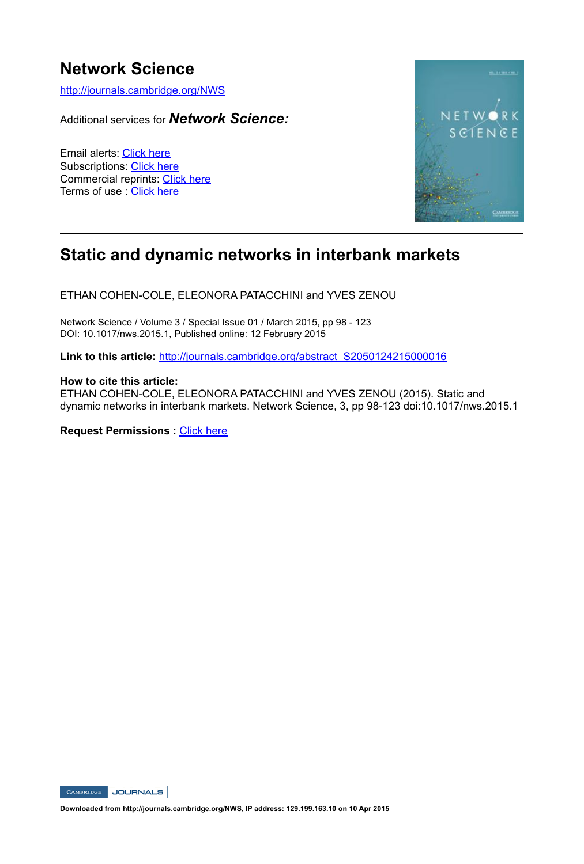# **Network Science**

http://journals.cambridge.org/NWS

Additional services for *Network Science:*

Email alerts: Click here Subscriptions: Click here Commercial reprints: Click here Terms of use : Click here



# **Static and dynamic networks in interbank markets**

ETHAN COHEN-COLE, ELEONORA PATACCHINI and YVES ZENOU

Network Science / Volume 3 / Special Issue 01 / March 2015, pp 98 - 123 DOI: 10.1017/nws.2015.1, Published online: 12 February 2015

**Link to this article:** http://journals.cambridge.org/abstract\_S2050124215000016

## **How to cite this article:**

ETHAN COHEN-COLE, ELEONORA PATACCHINI and YVES ZENOU (2015). Static and dynamic networks in interbank markets. Network Science, 3, pp 98-123 doi:10.1017/nws.2015.1

**Request Permissions :** Click here



**Downloaded from http://journals.cambridge.org/NWS, IP address: 129.199.163.10 on 10 Apr 2015**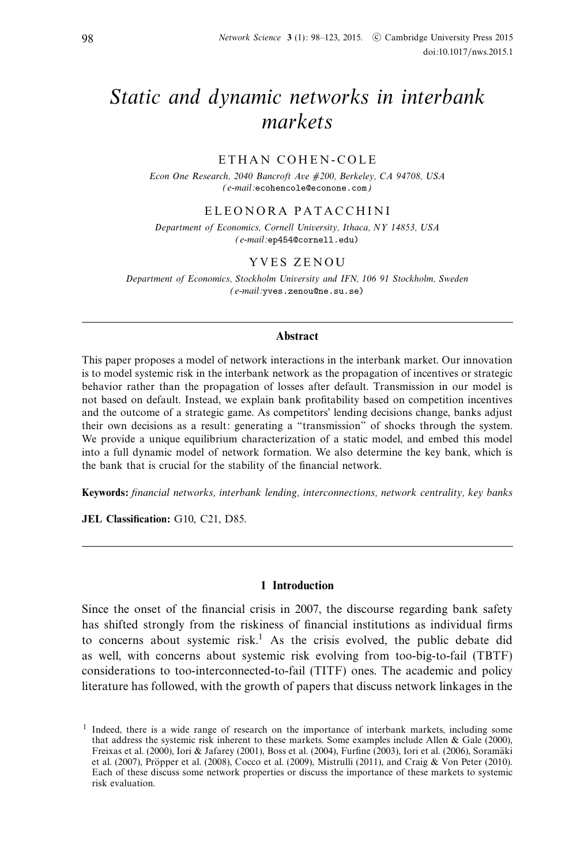# Static and dynamic networks in interbank markets

#### ETHAN COHEN-COLE

Econ One Research, 2040 Bancroft Ave #200, Berkeley, CA 94708, USA (e-mail:ecohencole@econone.com)

#### ELEONORA PATACCHINI

Department of Economics, Cornell University, Ithaca, NY 14853, USA (e-mail:ep454@cornell.edu)

## YVES ZENOU

Department of Economics, Stockholm University and IFN, 106 91 Stockholm, Sweden (e-mail:yves.zenou@ne.su.se)

## **Abstract**

This paper proposes a model of network interactions in the interbank market. Our innovation is to model systemic risk in the interbank network as the propagation of incentives or strategic behavior rather than the propagation of losses after default. Transmission in our model is not based on default. Instead, we explain bank profitability based on competition incentives and the outcome of a strategic game. As competitors' lending decisions change, banks adjust their own decisions as a result: generating a "transmission" of shocks through the system. We provide a unique equilibrium characterization of a static model, and embed this model into a full dynamic model of network formation. We also determine the key bank, which is the bank that is crucial for the stability of the financial network.

**Keywords:** financial networks, interbank lending, interconnections, network centrality, key banks

**JEL Classification:** G10, C21, D85.

## **1 Introduction**

Since the onset of the financial crisis in 2007, the discourse regarding bank safety has shifted strongly from the riskiness of financial institutions as individual firms to concerns about systemic risk.<sup>1</sup> As the crisis evolved, the public debate did as well, with concerns about systemic risk evolving from too-big-to-fail (TBTF) considerations to too-interconnected-to-fail (TITF) ones. The academic and policy literature has followed, with the growth of papers that discuss network linkages in the

<sup>&</sup>lt;sup>1</sup> Indeed, there is a wide range of research on the importance of interbank markets, including some that address the systemic risk inherent to these markets. Some examples include Allen & Gale (2000), Freixas et al. (2000), Iori & Jafarey (2001), Boss et al. (2004), Furfine (2003), Iori et al. (2006), Soramäki et al. (2007), Pröpper et al. (2008), Cocco et al. (2009), Mistrulli (2011), and Craig & Von Peter (2010). Each of these discuss some network properties or discuss the importance of these markets to systemic risk evaluation.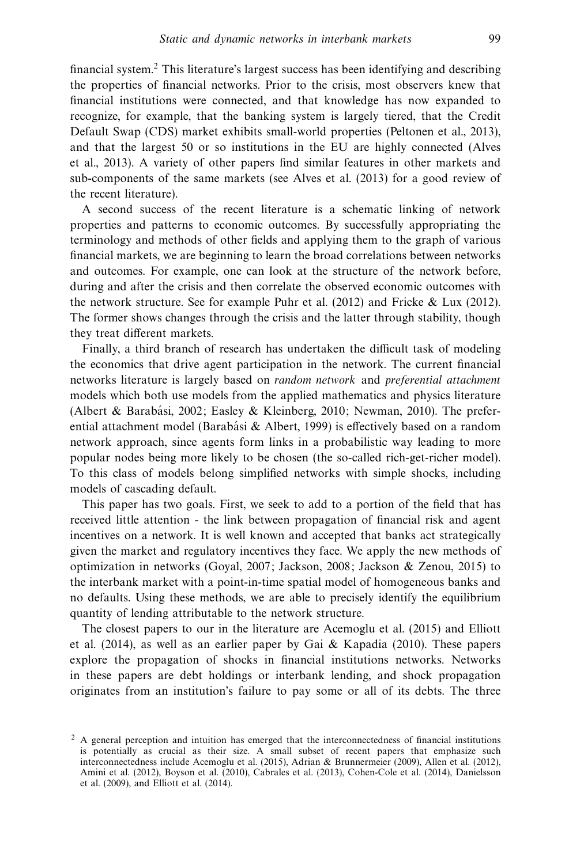financial system.<sup>2</sup> This literature's largest success has been identifying and describing the properties of financial networks. Prior to the crisis, most observers knew that financial institutions were connected, and that knowledge has now expanded to recognize, for example, that the banking system is largely tiered, that the Credit Default Swap (CDS) market exhibits small-world properties (Peltonen et al., 2013), and that the largest 50 or so institutions in the EU are highly connected (Alves et al., 2013). A variety of other papers find similar features in other markets and sub-components of the same markets (see Alves et al. (2013) for a good review of the recent literature).

A second success of the recent literature is a schematic linking of network properties and patterns to economic outcomes. By successfully appropriating the terminology and methods of other fields and applying them to the graph of various financial markets, we are beginning to learn the broad correlations between networks and outcomes. For example, one can look at the structure of the network before, during and after the crisis and then correlate the observed economic outcomes with the network structure. See for example Puhr et al.  $(2012)$  and Fricke & Lux  $(2012)$ . The former shows changes through the crisis and the latter through stability, though they treat different markets.

Finally, a third branch of research has undertaken the difficult task of modeling the economics that drive agent participation in the network. The current financial networks literature is largely based on random network and preferential attachment models which both use models from the applied mathematics and physics literature (Albert & Barabási, 2002; Easley & Kleinberg, 2010; Newman, 2010). The preferential attachment model (Barabási & Albert, 1999) is effectively based on a random network approach, since agents form links in a probabilistic way leading to more popular nodes being more likely to be chosen (the so-called rich-get-richer model). To this class of models belong simplified networks with simple shocks, including models of cascading default.

This paper has two goals. First, we seek to add to a portion of the field that has received little attention - the link between propagation of financial risk and agent incentives on a network. It is well known and accepted that banks act strategically given the market and regulatory incentives they face. We apply the new methods of optimization in networks (Goyal, 2007; Jackson, 2008; Jackson & Zenou, 2015) to the interbank market with a point-in-time spatial model of homogeneous banks and no defaults. Using these methods, we are able to precisely identify the equilibrium quantity of lending attributable to the network structure.

The closest papers to our in the literature are Acemoglu et al. (2015) and Elliott et al.  $(2014)$ , as well as an earlier paper by Gai & Kapadia  $(2010)$ . These papers explore the propagation of shocks in financial institutions networks. Networks in these papers are debt holdings or interbank lending, and shock propagation originates from an institution's failure to pay some or all of its debts. The three

<sup>&</sup>lt;sup>2</sup> A general perception and intuition has emerged that the interconnectedness of financial institutions is potentially as crucial as their size. A small subset of recent papers that emphasize such interconnectedness include Acemoglu et al. (2015), Adrian & Brunnermeier (2009), Allen et al. (2012), Amini et al. (2012), Boyson et al. (2010), Cabrales et al. (2013), Cohen-Cole et al. (2014), Danielsson et al. (2009), and Elliott et al. (2014).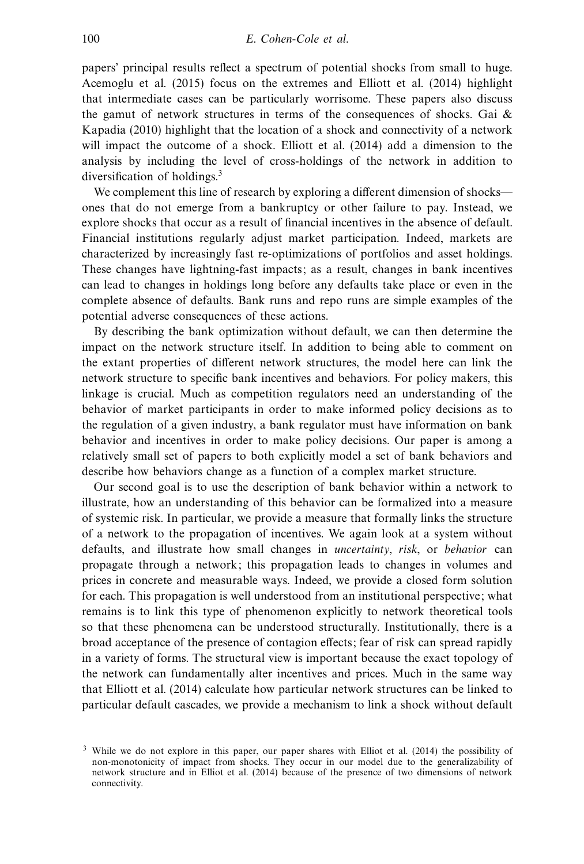papers' principal results reflect a spectrum of potential shocks from small to huge. Acemoglu et al. (2015) focus on the extremes and Elliott et al. (2014) highlight that intermediate cases can be particularly worrisome. These papers also discuss the gamut of network structures in terms of the consequences of shocks. Gai  $\&$ Kapadia (2010) highlight that the location of a shock and connectivity of a network will impact the outcome of a shock. Elliott et al. (2014) add a dimension to the analysis by including the level of cross-holdings of the network in addition to diversification of holdings. $3$ 

We complement this line of research by exploring a different dimension of shocks ones that do not emerge from a bankruptcy or other failure to pay. Instead, we explore shocks that occur as a result of financial incentives in the absence of default. Financial institutions regularly adjust market participation. Indeed, markets are characterized by increasingly fast re-optimizations of portfolios and asset holdings. These changes have lightning-fast impacts; as a result, changes in bank incentives can lead to changes in holdings long before any defaults take place or even in the complete absence of defaults. Bank runs and repo runs are simple examples of the potential adverse consequences of these actions.

By describing the bank optimization without default, we can then determine the impact on the network structure itself. In addition to being able to comment on the extant properties of different network structures, the model here can link the network structure to specific bank incentives and behaviors. For policy makers, this linkage is crucial. Much as competition regulators need an understanding of the behavior of market participants in order to make informed policy decisions as to the regulation of a given industry, a bank regulator must have information on bank behavior and incentives in order to make policy decisions. Our paper is among a relatively small set of papers to both explicitly model a set of bank behaviors and describe how behaviors change as a function of a complex market structure.

Our second goal is to use the description of bank behavior within a network to illustrate, how an understanding of this behavior can be formalized into a measure of systemic risk. In particular, we provide a measure that formally links the structure of a network to the propagation of incentives. We again look at a system without defaults, and illustrate how small changes in uncertainty, risk, or behavior can propagate through a network; this propagation leads to changes in volumes and prices in concrete and measurable ways. Indeed, we provide a closed form solution for each. This propagation is well understood from an institutional perspective; what remains is to link this type of phenomenon explicitly to network theoretical tools so that these phenomena can be understood structurally. Institutionally, there is a broad acceptance of the presence of contagion effects; fear of risk can spread rapidly in a variety of forms. The structural view is important because the exact topology of the network can fundamentally alter incentives and prices. Much in the same way that Elliott et al. (2014) calculate how particular network structures can be linked to particular default cascades, we provide a mechanism to link a shock without default

<sup>&</sup>lt;sup>3</sup> While we do not explore in this paper, our paper shares with Elliot et al. (2014) the possibility of non-monotonicity of impact from shocks. They occur in our model due to the generalizability of network structure and in Elliot et al. (2014) because of the presence of two dimensions of network connectivity.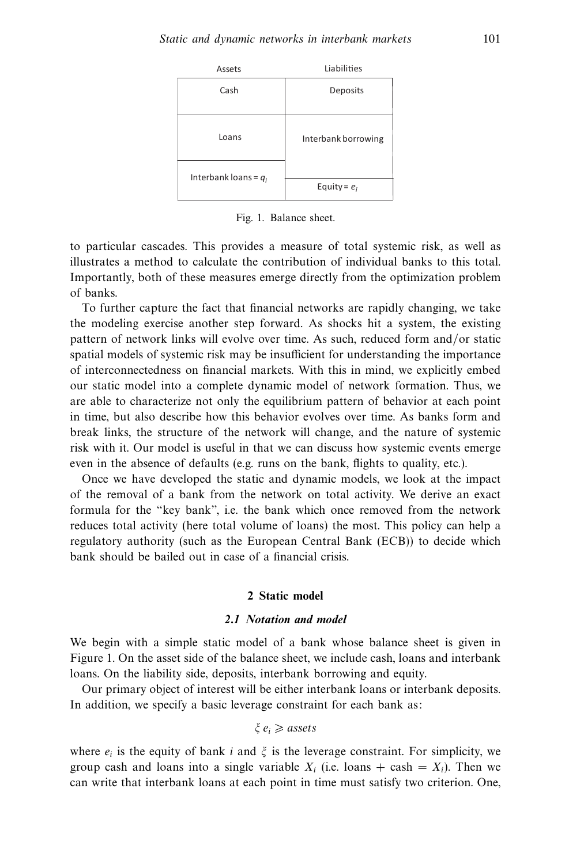

Fig. 1. Balance sheet.

to particular cascades. This provides a measure of total systemic risk, as well as illustrates a method to calculate the contribution of individual banks to this total. Importantly, both of these measures emerge directly from the optimization problem of banks.

To further capture the fact that financial networks are rapidly changing, we take the modeling exercise another step forward. As shocks hit a system, the existing pattern of network links will evolve over time. As such, reduced form and/or static spatial models of systemic risk may be insufficient for understanding the importance of interconnectedness on financial markets. With this in mind, we explicitly embed our static model into a complete dynamic model of network formation. Thus, we are able to characterize not only the equilibrium pattern of behavior at each point in time, but also describe how this behavior evolves over time. As banks form and break links, the structure of the network will change, and the nature of systemic risk with it. Our model is useful in that we can discuss how systemic events emerge even in the absence of defaults (e.g. runs on the bank, flights to quality, etc.).

Once we have developed the static and dynamic models, we look at the impact of the removal of a bank from the network on total activity. We derive an exact formula for the "key bank", i.e. the bank which once removed from the network reduces total activity (here total volume of loans) the most. This policy can help a regulatory authority (such as the European Central Bank (ECB)) to decide which bank should be bailed out in case of a financial crisis.

#### **2 Static model**

#### *2.1 Notation and model*

We begin with a simple static model of a bank whose balance sheet is given in Figure 1. On the asset side of the balance sheet, we include cash, loans and interbank loans. On the liability side, deposits, interbank borrowing and equity.

Our primary object of interest will be either interbank loans or interbank deposits. In addition, we specify a basic leverage constraint for each bank as:

$$
\xi e_i \geq \text{asserts}
$$

where  $e_i$  is the equity of bank *i* and  $\xi$  is the leverage constraint. For simplicity, we group cash and loans into a single variable  $X_i$  (i.e. loans  $+$  cash  $= X_i$ ). Then we can write that interbank loans at each point in time must satisfy two criterion. One,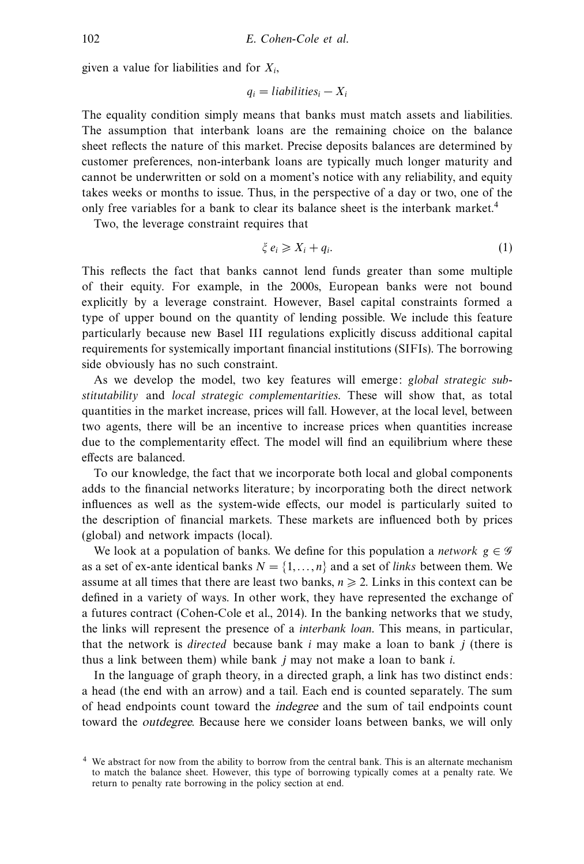given a value for liabilities and for *Xi*,

 $q_i =$ *liabilities<sub>i</sub>* –  $X_i$ 

The equality condition simply means that banks must match assets and liabilities. The assumption that interbank loans are the remaining choice on the balance sheet reflects the nature of this market. Precise deposits balances are determined by customer preferences, non-interbank loans are typically much longer maturity and cannot be underwritten or sold on a moment's notice with any reliability, and equity takes weeks or months to issue. Thus, in the perspective of a day or two, one of the only free variables for a bank to clear its balance sheet is the interbank market.<sup>4</sup>

Two, the leverage constraint requires that

$$
\xi e_i \geqslant X_i + q_i. \tag{1}
$$

This reflects the fact that banks cannot lend funds greater than some multiple of their equity. For example, in the 2000s, European banks were not bound explicitly by a leverage constraint. However, Basel capital constraints formed a type of upper bound on the quantity of lending possible. We include this feature particularly because new Basel III regulations explicitly discuss additional capital requirements for systemically important financial institutions (SIFIs). The borrowing side obviously has no such constraint.

As we develop the model, two key features will emerge: global strategic substitutability and local strategic complementarities. These will show that, as total quantities in the market increase, prices will fall. However, at the local level, between two agents, there will be an incentive to increase prices when quantities increase due to the complementarity effect. The model will find an equilibrium where these effects are balanced.

To our knowledge, the fact that we incorporate both local and global components adds to the financial networks literature; by incorporating both the direct network influences as well as the system-wide effects, our model is particularly suited to the description of financial markets. These markets are influenced both by prices (global) and network impacts (local).

We look at a population of banks. We define for this population a *network*  $g \in \mathscr{G}$ as a set of ex-ante identical banks  $N = \{1, \ldots, n\}$  and a set of *links* between them. We assume at all times that there are least two banks,  $n \geq 2$ . Links in this context can be defined in a variety of ways. In other work, they have represented the exchange of a futures contract (Cohen-Cole et al., 2014). In the banking networks that we study, the links will represent the presence of a interbank loan. This means, in particular, that the network is directed because bank *i* may make a loan to bank *j* (there is thus a link between them) while bank *j* may not make a loan to bank *i*.

In the language of graph theory, in a directed graph, a link has two distinct ends: a head (the end with an arrow) and a tail. Each end is counted separately. The sum of head endpoints count toward the *indegree* and the sum of tail endpoints count toward the *outdegree*. Because here we consider loans between banks, we will only

<sup>4</sup> We abstract for now from the ability to borrow from the central bank. This is an alternate mechanism to match the balance sheet. However, this type of borrowing typically comes at a penalty rate. We return to penalty rate borrowing in the policy section at end.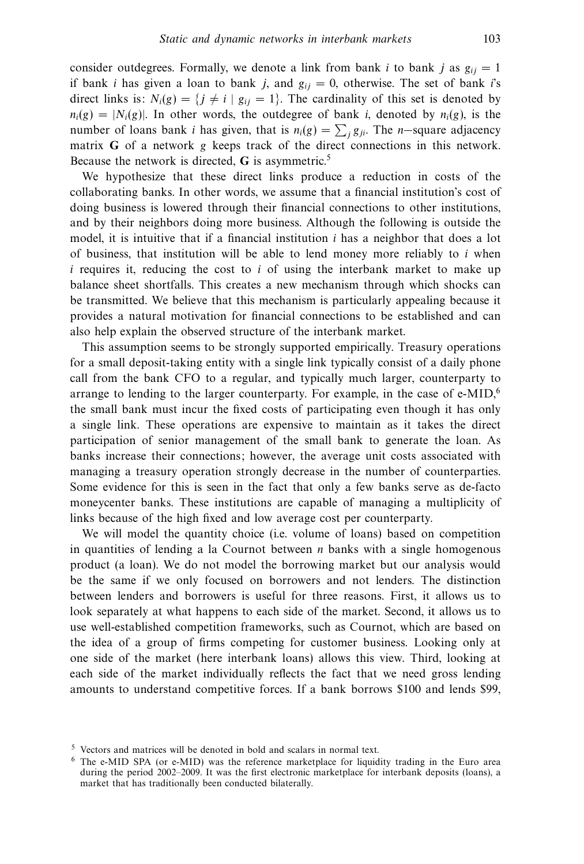consider outdegrees. Formally, we denote a link from bank *i* to bank *j* as  $g_{ij} = 1$ if bank *i* has given a loan to bank *j*, and  $g_{ij} = 0$ , otherwise. The set of bank *i*'s direct links is:  $N_i(g) = \{ j \neq i \mid g_{ij} = 1 \}$ . The cardinality of this set is denoted by  $n_i(g) = |N_i(g)|$ . In other words, the outdegree of bank *i*, denoted by  $n_i(g)$ , is the number of loans bank *i* has given, that is  $n_i(g) = \sum_j g_{ji}$ . The *n*-square adjacency matrix **G** of a network *g* keeps track of the direct connections in this network. Because the network is directed, **G** is asymmetric.<sup>5</sup>

We hypothesize that these direct links produce a reduction in costs of the collaborating banks. In other words, we assume that a financial institution's cost of doing business is lowered through their financial connections to other institutions, and by their neighbors doing more business. Although the following is outside the model, it is intuitive that if a financial institution *i* has a neighbor that does a lot of business, that institution will be able to lend money more reliably to *i* when *i* requires it, reducing the cost to *i* of using the interbank market to make up balance sheet shortfalls. This creates a new mechanism through which shocks can be transmitted. We believe that this mechanism is particularly appealing because it provides a natural motivation for financial connections to be established and can also help explain the observed structure of the interbank market.

This assumption seems to be strongly supported empirically. Treasury operations for a small deposit-taking entity with a single link typically consist of a daily phone call from the bank CFO to a regular, and typically much larger, counterparty to arrange to lending to the larger counterparty. For example, in the case of  $e\text{-MID}$ ,<sup>6</sup> the small bank must incur the fixed costs of participating even though it has only a single link. These operations are expensive to maintain as it takes the direct participation of senior management of the small bank to generate the loan. As banks increase their connections; however, the average unit costs associated with managing a treasury operation strongly decrease in the number of counterparties. Some evidence for this is seen in the fact that only a few banks serve as de-facto moneycenter banks. These institutions are capable of managing a multiplicity of links because of the high fixed and low average cost per counterparty.

We will model the quantity choice (i.e. volume of loans) based on competition in quantities of lending a la Cournot between *n* banks with a single homogenous product (a loan). We do not model the borrowing market but our analysis would be the same if we only focused on borrowers and not lenders. The distinction between lenders and borrowers is useful for three reasons. First, it allows us to look separately at what happens to each side of the market. Second, it allows us to use well-established competition frameworks, such as Cournot, which are based on the idea of a group of firms competing for customer business. Looking only at one side of the market (here interbank loans) allows this view. Third, looking at each side of the market individually reflects the fact that we need gross lending amounts to understand competitive forces. If a bank borrows \$100 and lends \$99,

<sup>5</sup> Vectors and matrices will be denoted in bold and scalars in normal text.

<sup>&</sup>lt;sup>6</sup> The e-MID SPA (or e-MID) was the reference marketplace for liquidity trading in the Euro area during the period 2002–2009. It was the first electronic marketplace for interbank deposits (loans), a market that has traditionally been conducted bilaterally.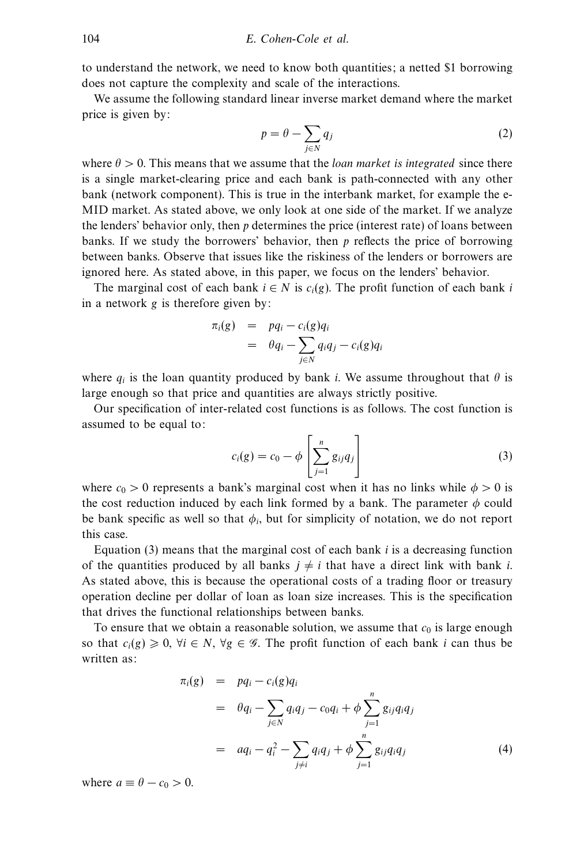to understand the network, we need to know both quantities; a netted \$1 borrowing does not capture the complexity and scale of the interactions.

We assume the following standard linear inverse market demand where the market price is given by:

$$
p = \theta - \sum_{j \in N} q_j \tag{2}
$$

where  $\theta > 0$ . This means that we assume that the *loan market is integrated* since there is a single market-clearing price and each bank is path-connected with any other bank (network component). This is true in the interbank market, for example the e-MID market. As stated above, we only look at one side of the market. If we analyze the lenders' behavior only, then *p* determines the price (interest rate) of loans between banks. If we study the borrowers' behavior, then *p* reflects the price of borrowing between banks. Observe that issues like the riskiness of the lenders or borrowers are ignored here. As stated above, in this paper, we focus on the lenders' behavior.

The marginal cost of each bank  $i \in N$  is  $c_i(g)$ . The profit function of each bank *i* in a network *g* is therefore given by:

$$
\pi_i(g) = pq_i - c_i(g)q_i
$$
  
=  $\theta q_i - \sum_{j \in N} q_i q_j - c_i(g)q_i$ 

where  $q_i$  is the loan quantity produced by bank *i*. We assume throughout that  $\theta$  is large enough so that price and quantities are always strictly positive.

Our specification of inter-related cost functions is as follows. The cost function is assumed to be equal to:

$$
c_i(g) = c_0 - \phi \left[ \sum_{j=1}^n g_{ij} q_j \right]
$$
 (3)

where  $c_0 > 0$  represents a bank's marginal cost when it has no links while  $\phi > 0$  is the cost reduction induced by each link formed by a bank. The parameter  $\phi$  could be bank specific as well so that  $\phi_i$ , but for simplicity of notation, we do not report this case.

Equation (3) means that the marginal cost of each bank *i* is a decreasing function of the quantities produced by all banks  $j \neq i$  that have a direct link with bank *i*. As stated above, this is because the operational costs of a trading floor or treasury operation decline per dollar of loan as loan size increases. This is the specification that drives the functional relationships between banks.

To ensure that we obtain a reasonable solution, we assume that  $c<sub>0</sub>$  is large enough so that  $c_i(g) \geq 0$ ,  $\forall i \in N$ ,  $\forall g \in \mathscr{G}$ . The profit function of each bank *i* can thus be written as:

$$
\pi_i(g) = pq_i - c_i(g)q_i
$$
  
=  $\theta q_i - \sum_{j \in N} q_i q_j - c_0 q_i + \phi \sum_{j=1}^n g_{ij} q_i q_j$   
=  $aq_i - q_i^2 - \sum_{j \neq i} q_i q_j + \phi \sum_{j=1}^n g_{ij} q_i q_j$  (4)

where  $a \equiv \theta - c_0 > 0$ .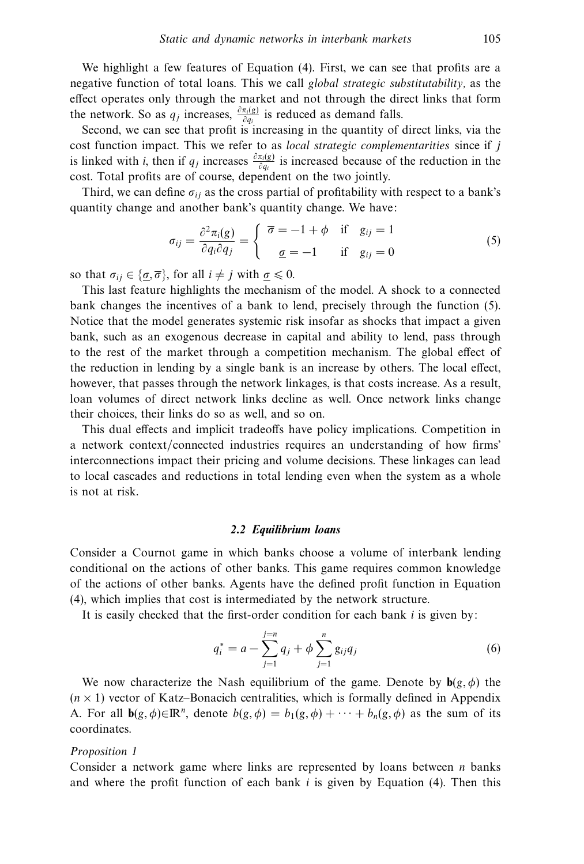We highlight a few features of Equation (4). First, we can see that profits are a negative function of total loans. This we call *global strategic substitutability*, as the effect operates only through the market and not through the direct links that form the network. So as  $q_j$  increases,  $\frac{\partial \pi_i(g)}{\partial q_i}$  is reduced as demand falls.

Second, we can see that profit is increasing in the quantity of direct links, via the cost function impact. This we refer to as local strategic complementarities since if *j* is linked with *i*, then if  $q_j$  increases  $\frac{\partial \pi_i(g)}{\partial q_i}$  is increased because of the reduction in the cost. Total profits are of course, dependent on the two jointly.

Third, we can define  $\sigma_{ij}$  as the cross partial of profitability with respect to a bank's quantity change and another bank's quantity change. We have:

$$
\sigma_{ij} = \frac{\partial^2 \pi_i(g)}{\partial q_i \partial q_j} = \begin{cases} \overline{\sigma} = -1 + \phi & \text{if } g_{ij} = 1 \\ \underline{\sigma} = -1 & \text{if } g_{ij} = 0 \end{cases}
$$
(5)

so that  $\sigma_{ij} \in {\sigma, \overline{\sigma}}$ , for all  $i \neq j$  with  $\sigma \leq 0$ .

This last feature highlights the mechanism of the model. A shock to a connected bank changes the incentives of a bank to lend, precisely through the function (5). Notice that the model generates systemic risk insofar as shocks that impact a given bank, such as an exogenous decrease in capital and ability to lend, pass through to the rest of the market through a competition mechanism. The global effect of the reduction in lending by a single bank is an increase by others. The local effect, however, that passes through the network linkages, is that costs increase. As a result, loan volumes of direct network links decline as well. Once network links change their choices, their links do so as well, and so on.

This dual effects and implicit tradeoffs have policy implications. Competition in a network context/connected industries requires an understanding of how firms' interconnections impact their pricing and volume decisions. These linkages can lead to local cascades and reductions in total lending even when the system as a whole is not at risk.

#### *2.2 Equilibrium loans*

Consider a Cournot game in which banks choose a volume of interbank lending conditional on the actions of other banks. This game requires common knowledge of the actions of other banks. Agents have the defined profit function in Equation (4), which implies that cost is intermediated by the network structure.

It is easily checked that the first-order condition for each bank *i* is given by:

$$
q_i^* = a - \sum_{j=1}^{j=n} q_j + \phi \sum_{j=1}^n g_{ij} q_j \tag{6}
$$

We now characterize the Nash equilibrium of the game. Denote by  $\mathbf{b}(g, \phi)$  the  $(n \times 1)$  vector of Katz–Bonacich centralities, which is formally defined in Appendix A. For all  $\mathbf{b}(g, \phi) \in \mathbb{R}^n$ , denote  $b(g, \phi) = b_1(g, \phi) + \cdots + b_n(g, \phi)$  as the sum of its coordinates.

#### Proposition 1

Consider a network game where links are represented by loans between *n* banks and where the profit function of each bank *i* is given by Equation (4). Then this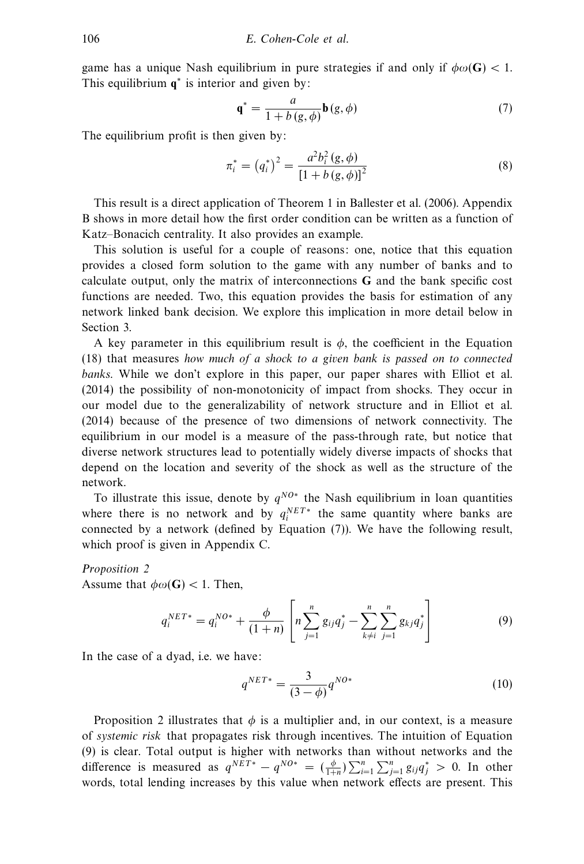game has a unique Nash equilibrium in pure strategies if and only if  $\phi \omega(\mathbf{G}) < 1$ . This equilibrium **q**<sup>∗</sup> is interior and given by:

$$
\mathbf{q}^* = \frac{a}{1 + b(g, \phi)} \mathbf{b}(g, \phi) \tag{7}
$$

The equilibrium profit is then given by:

$$
\pi_i^* = (q_i^*)^2 = \frac{a^2 b_i^2 (g, \phi)}{[1 + b(g, \phi)]^2}
$$
\n(8)

This result is a direct application of Theorem 1 in Ballester et al. (2006). Appendix B shows in more detail how the first order condition can be written as a function of Katz–Bonacich centrality. It also provides an example.

This solution is useful for a couple of reasons: one, notice that this equation provides a closed form solution to the game with any number of banks and to calculate output, only the matrix of interconnections **G** and the bank specific cost functions are needed. Two, this equation provides the basis for estimation of any network linked bank decision. We explore this implication in more detail below in Section 3.

A key parameter in this equilibrium result is  $\phi$ , the coefficient in the Equation  $(18)$  that measures how much of a shock to a given bank is passed on to connected banks. While we don't explore in this paper, our paper shares with Elliot et al. (2014) the possibility of non-monotonicity of impact from shocks. They occur in our model due to the generalizability of network structure and in Elliot et al. (2014) because of the presence of two dimensions of network connectivity. The equilibrium in our model is a measure of the pass-through rate, but notice that diverse network structures lead to potentially widely diverse impacts of shocks that depend on the location and severity of the shock as well as the structure of the network.

To illustrate this issue, denote by  $q^{NO*}$  the Nash equilibrium in loan quantities where there is no network and by  $q_i^{NET*}$  the same quantity where banks are connected by a network (defined by Equation (7)). We have the following result, which proof is given in Appendix C.

## Proposition 2

Assume that  $\phi \omega(\mathbf{G}) < 1$ . Then,

$$
q_i^{NET*} = q_i^{NO*} + \frac{\phi}{(1+n)} \left[ n \sum_{j=1}^n g_{ij} q_j^* - \sum_{k \neq i}^n \sum_{j=1}^n g_{kj} q_j^* \right]
$$
(9)

In the case of a dyad, i.e. we have:

$$
q^{NET*} = \frac{3}{(3-\phi)} q^{NO*}
$$
 (10)

Proposition 2 illustrates that  $\phi$  is a multiplier and, in our context, is a measure of systemic risk that propagates risk through incentives. The intuition of Equation (9) is clear. Total output is higher with networks than without networks and the difference is measured as  $q^{NET*} - q^{NO*} = (\frac{\phi}{1+n}) \sum_{i=1}^{n} \sum_{j=1}^{n} g_{ij} q_j^* > 0$ . In other words, total lending increases by this value when network effects are present. This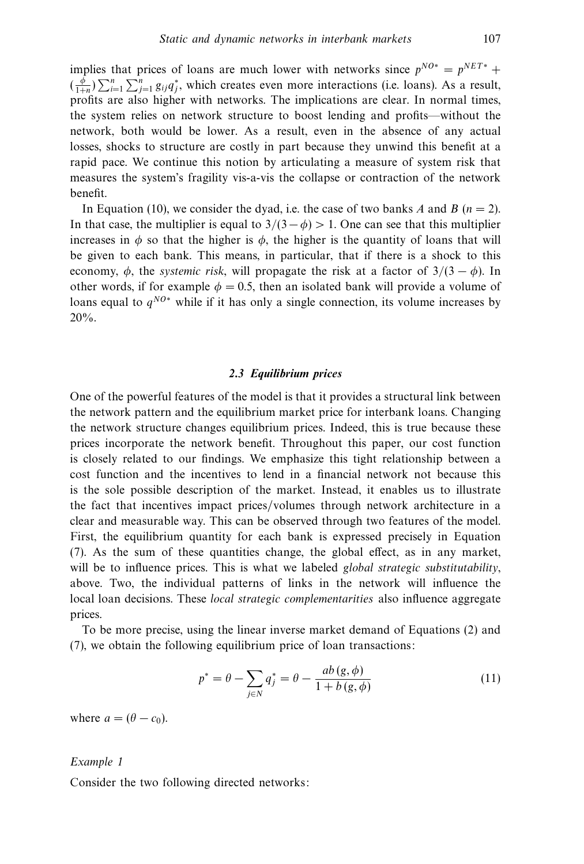implies that prices of loans are much lower with networks since  $p^{NO*} = p^{NET*} +$  $(\frac{\phi}{1+n})\sum_{i=1}^n\sum_{j=1}^n g_{ij}q_j^*$ , which creates even more interactions (i.e. loans). As a result, profits are also higher with networks. The implications are clear. In normal times, the system relies on network structure to boost lending and profits—without the network, both would be lower. As a result, even in the absence of any actual losses, shocks to structure are costly in part because they unwind this benefit at a rapid pace. We continue this notion by articulating a measure of system risk that measures the system's fragility vis-a-vis the collapse or contraction of the network benefit.

In Equation (10), we consider the dyad, i.e. the case of two banks *A* and *B* ( $n = 2$ ). In that case, the multiplier is equal to  $3/(3-\phi) > 1$ . One can see that this multiplier increases in  $\phi$  so that the higher is  $\phi$ , the higher is the quantity of loans that will be given to each bank. This means, in particular, that if there is a shock to this economy,  $\phi$ , the *systemic risk*, will propagate the risk at a factor of  $3/(3 - \phi)$ . In other words, if for example  $\phi = 0.5$ , then an isolated bank will provide a volume of loans equal to  $q^{NO*}$  while if it has only a single connection, its volume increases by 20%.

#### *2.3 Equilibrium prices*

One of the powerful features of the model is that it provides a structural link between the network pattern and the equilibrium market price for interbank loans. Changing the network structure changes equilibrium prices. Indeed, this is true because these prices incorporate the network benefit. Throughout this paper, our cost function is closely related to our findings. We emphasize this tight relationship between a cost function and the incentives to lend in a financial network not because this is the sole possible description of the market. Instead, it enables us to illustrate the fact that incentives impact prices/volumes through network architecture in a clear and measurable way. This can be observed through two features of the model. First, the equilibrium quantity for each bank is expressed precisely in Equation (7). As the sum of these quantities change, the global effect, as in any market, will be to influence prices. This is what we labeled global strategic substitutability, above. Two, the individual patterns of links in the network will influence the local loan decisions. These *local strategic complementarities* also influence aggregate prices.

To be more precise, using the linear inverse market demand of Equations (2) and (7), we obtain the following equilibrium price of loan transactions:

$$
p^* = \theta - \sum_{j \in N} q_j^* = \theta - \frac{ab(g, \phi)}{1 + b(g, \phi)}
$$
(11)

where  $a = (\theta - c_0)$ .

## Example 1

Consider the two following directed networks: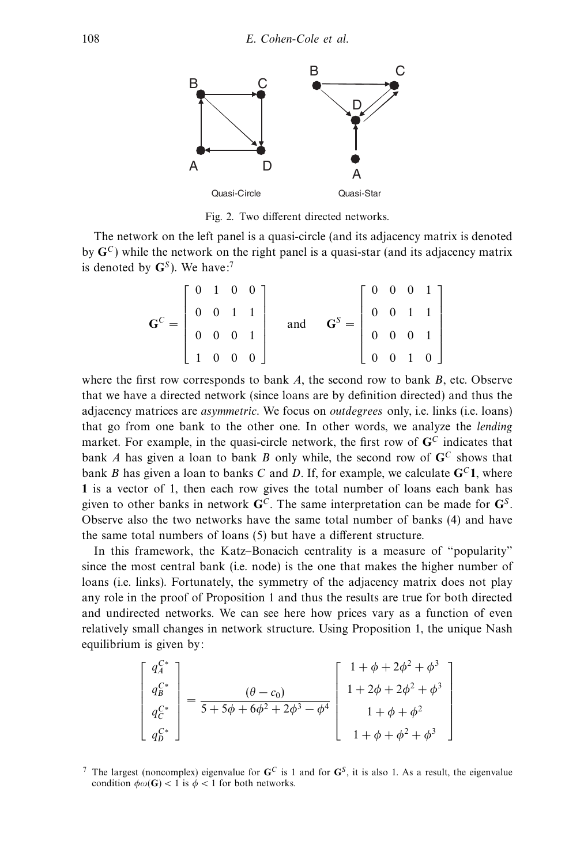

Fig. 2. Two different directed networks.

The network on the left panel is a quasi-circle (and its adjacency matrix is denoted by **G***<sup>C</sup>*) while the network on the right panel is a quasi-star (and its adjacency matrix is denoted by  $\mathbf{G}^{S}$ ). We have:<sup>7</sup>

$$
\mathbf{G}^C = \begin{bmatrix} 0 & 1 & 0 & 0 \\ 0 & 0 & 1 & 1 \\ 0 & 0 & 0 & 1 \\ 1 & 0 & 0 & 0 \end{bmatrix} \quad \text{and} \quad \mathbf{G}^S = \begin{bmatrix} 0 & 0 & 0 & 1 \\ 0 & 0 & 1 & 1 \\ 0 & 0 & 0 & 1 \\ 0 & 0 & 1 & 0 \end{bmatrix}
$$

where the first row corresponds to bank *A*, the second row to bank *B*, etc. Observe that we have a directed network (since loans are by definition directed) and thus the adjacency matrices are *asymmetric*. We focus on *outdegrees* only, i.e. links (i.e. loans) that go from one bank to the other one. In other words, we analyze the lending market. For example, in the quasi-circle network, the first row of  $\mathbf{G}^C$  indicates that bank *A* has given a loan to bank *B* only while, the second row of **G***<sup>C</sup>* shows that bank *B* has given a loan to banks *C* and *D*. If, for example, we calculate **G***C***1**, where **1** is a vector of 1, then each row gives the total number of loans each bank has given to other banks in network  $\mathbf{G}^C$ . The same interpretation can be made for  $\mathbf{G}^S$ . Observe also the two networks have the same total number of banks (4) and have the same total numbers of loans (5) but have a different structure.

In this framework, the Katz–Bonacich centrality is a measure of "popularity" since the most central bank (i.e. node) is the one that makes the higher number of loans (i.e. links). Fortunately, the symmetry of the adjacency matrix does not play any role in the proof of Proposition 1 and thus the results are true for both directed and undirected networks. We can see here how prices vary as a function of even relatively small changes in network structure. Using Proposition 1, the unique Nash equilibrium is given by:

$$
\begin{bmatrix} q_A^{C*} \\ q_B^{C*} \\ q_C^{C*} \\ q_D^{C*} \end{bmatrix} = \frac{(\theta - c_0)}{5 + 5\phi + 6\phi^2 + 2\phi^3 - \phi^4} \begin{bmatrix} 1 + \phi + 2\phi^2 + \phi^3 \\ 1 + 2\phi + 2\phi^2 + \phi^3 \\ 1 + \phi + \phi^2 \\ 1 + \phi + \phi^2 + \phi^3 \end{bmatrix}
$$

<sup>&</sup>lt;sup>7</sup> The largest (noncomplex) eigenvalue for  $G^C$  is 1 and for  $G^S$ , it is also 1. As a result, the eigenvalue condition  $\phi \omega(\mathbf{G}) < 1$  is  $\phi < 1$  for both networks.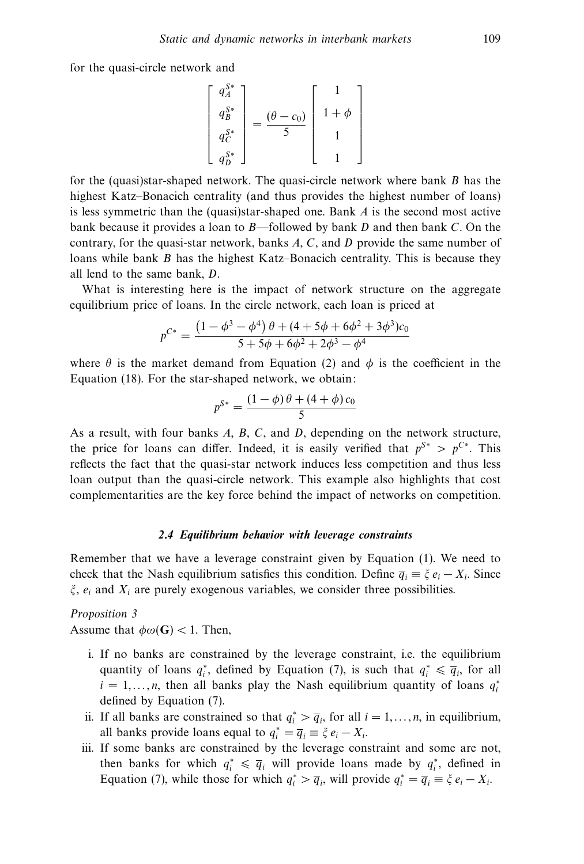for the quasi-circle network and

$$
\begin{bmatrix} q_A^{S^*} \\ q_B^{S^*} \\ q_C^{S^*} \\ q_D^{S^*} \end{bmatrix} = \frac{(\theta - c_0)}{5} \begin{bmatrix} 1 \\ 1 + \phi \\ 1 \\ 1 \\ 1 \end{bmatrix}
$$

for the (quasi)star-shaped network. The quasi-circle network where bank *B* has the highest Katz–Bonacich centrality (and thus provides the highest number of loans) is less symmetric than the (quasi)star-shaped one. Bank *A* is the second most active bank because it provides a loan to *B*—followed by bank *D* and then bank *C*. On the contrary, for the quasi-star network, banks *A*, *C*, and *D* provide the same number of loans while bank *B* has the highest Katz–Bonacich centrality. This is because they all lend to the same bank, *D*.

What is interesting here is the impact of network structure on the aggregate equilibrium price of loans. In the circle network, each loan is priced at

$$
p^{C*} = \frac{(1 - \phi^3 - \phi^4) \theta + (4 + 5\phi + 6\phi^2 + 3\phi^3)c_0}{5 + 5\phi + 6\phi^2 + 2\phi^3 - \phi^4}
$$

where  $\theta$  is the market demand from Equation (2) and  $\phi$  is the coefficient in the Equation (18). For the star-shaped network, we obtain:

$$
p^{S*} = \frac{(1 - \phi) \theta + (4 + \phi) c_0}{5}
$$

As a result, with four banks *A*, *B*, *C*, and *D*, depending on the network structure, the price for loans can differ. Indeed, it is easily verified that  $p^{S^*} > p^{C^*}$ . This reflects the fact that the quasi-star network induces less competition and thus less loan output than the quasi-circle network. This example also highlights that cost complementarities are the key force behind the impact of networks on competition.

#### *2.4 Equilibrium behavior with leverage constraints*

Remember that we have a leverage constraint given by Equation (1). We need to check that the Nash equilibrium satisfies this condition. Define  $\overline{q}_i \equiv \xi e_i - X_i$ . Since *ξ*, *ei* and *Xi* are purely exogenous variables, we consider three possibilities.

Proposition 3 Assume that  $\phi \omega(\mathbf{G}) < 1$ . Then,

- i. If no banks are constrained by the leverage constraint, i.e. the equilibrium quantity of loans  $q_i^*$ , defined by Equation (7), is such that  $q_i^* \leq \overline{q_i}$ , for all  $i = 1, \ldots, n$ , then all banks play the Nash equilibrium quantity of loans  $q_i^*$ defined by Equation (7).
- ii. If all banks are constrained so that  $q_i^* > \overline{q}_i$ , for all  $i = 1, ..., n$ , in equilibrium, all banks provide loans equal to  $q_i^* = \overline{q}_i \equiv \xi e_i - X_i$ .
- iii. If some banks are constrained by the leverage constraint and some are not, then banks for which  $q_i^* \leq \overline{q}_i$  will provide loans made by  $q_i^*$ , defined in Equation (7), while those for which  $q_i^* > \overline{q}_i$ , will provide  $q_i^* = \overline{q}_i \equiv \xi e_i - X_i$ .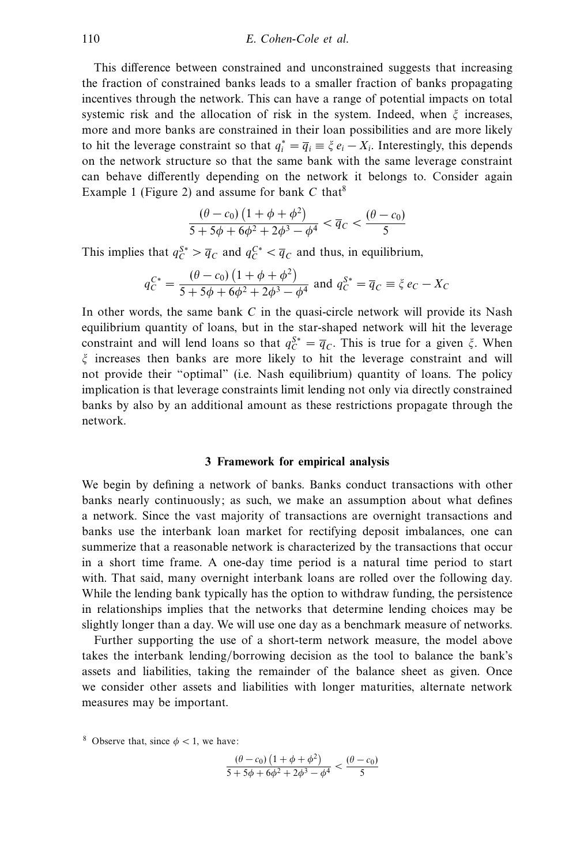This difference between constrained and unconstrained suggests that increasing the fraction of constrained banks leads to a smaller fraction of banks propagating incentives through the network. This can have a range of potential impacts on total systemic risk and the allocation of risk in the system. Indeed, when *ξ* increases, more and more banks are constrained in their loan possibilities and are more likely to hit the leverage constraint so that  $q_i^* = \overline{q}_i \equiv \xi e_i - X_i$ . Interestingly, this depends on the network structure so that the same bank with the same leverage constraint can behave differently depending on the network it belongs to. Consider again Example 1 (Figure 2) and assume for bank *C* that<sup>8</sup>

$$
\frac{(\theta - c_0) (1 + \phi + \phi^2)}{5 + 5\phi + 6\phi^2 + 2\phi^3 - \phi^4} < \overline{q}_C < \frac{(\theta - c_0)}{5}
$$

This implies that  $q_C^{S^*} > \overline{q}_C$  and  $q_C^{C^*} < \overline{q}_C$  and thus, in equilibrium,

$$
q_C^{C^*} = \frac{(\theta - c_0) (1 + \phi + \phi^2)}{5 + 5\phi + 6\phi^2 + 2\phi^3 - \phi^4}
$$
 and  $q_C^{S^*} = \overline{q}_C \equiv \xi e_C - X_C$ 

In other words, the same bank *C* in the quasi-circle network will provide its Nash equilibrium quantity of loans, but in the star-shaped network will hit the leverage constraint and will lend loans so that  $q_C^{S^*} = \overline{q}_C$ . This is true for a given  $\xi$ . When *ξ* increases then banks are more likely to hit the leverage constraint and will not provide their "optimal" (i.e. Nash equilibrium) quantity of loans. The policy implication is that leverage constraints limit lending not only via directly constrained banks by also by an additional amount as these restrictions propagate through the network.

#### **3 Framework for empirical analysis**

We begin by defining a network of banks. Banks conduct transactions with other banks nearly continuously; as such, we make an assumption about what defines a network. Since the vast majority of transactions are overnight transactions and banks use the interbank loan market for rectifying deposit imbalances, one can summerize that a reasonable network is characterized by the transactions that occur in a short time frame. A one-day time period is a natural time period to start with. That said, many overnight interbank loans are rolled over the following day. While the lending bank typically has the option to withdraw funding, the persistence in relationships implies that the networks that determine lending choices may be slightly longer than a day. We will use one day as a benchmark measure of networks.

Further supporting the use of a short-term network measure, the model above takes the interbank lending/borrowing decision as the tool to balance the bank's assets and liabilities, taking the remainder of the balance sheet as given. Once we consider other assets and liabilities with longer maturities, alternate network measures may be important.

<sup>8</sup> Observe that, since  $\phi$  < 1, we have:

$$
\frac{(\theta - c_0) (1 + \phi + \phi^2)}{5 + 5\phi + 6\phi^2 + 2\phi^3 - \phi^4} < \frac{(\theta - c_0)}{5}
$$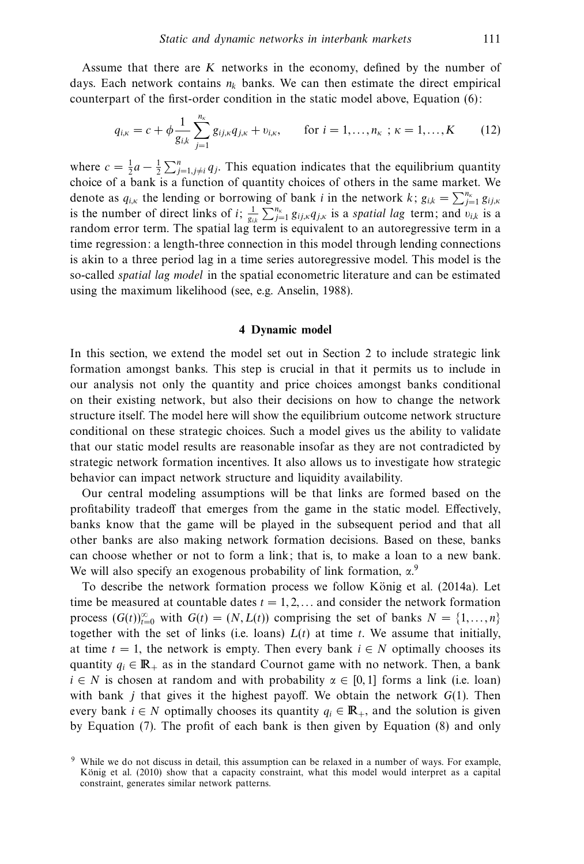Assume that there are *K* networks in the economy, defined by the number of days. Each network contains  $n_k$  banks. We can then estimate the direct empirical counterpart of the first-order condition in the static model above, Equation (6):

$$
q_{i,\kappa} = c + \phi \frac{1}{g_{i,k}} \sum_{j=1}^{n_{\kappa}} g_{ij,\kappa} q_{j,\kappa} + v_{i,\kappa}, \quad \text{for } i = 1,\dots, n_{\kappa} \; ; \; \kappa = 1,\dots, K \qquad (12)
$$

where  $c = \frac{1}{2}a - \frac{1}{2}\sum_{j=1, j \neq i}^{n} q_j$ . This equation indicates that the equilibrium quantity choice of a bank is a function of quantity choices of others in the same market. We denote as  $q_{i,k}$  the lending or borrowing of bank *i* in the network  $k$ ;  $g_{i,k} = \sum_{j=1}^{n_k} g_{ij,k}$ is the number of direct links of *i*;  $\frac{1}{g_{ik}}\sum_{j=1}^{n_k}g_{ij,k}q_{j,k}$  is a spatial lag term; and  $v_{i,k}$  is a random error term. The spatial lag term is equivalent to an autoregressive term in a time regression: a length-three connection in this model through lending connections is akin to a three period lag in a time series autoregressive model. This model is the so-called *spatial lag model* in the spatial econometric literature and can be estimated using the maximum likelihood (see, e.g. Anselin, 1988).

#### **4 Dynamic model**

In this section, we extend the model set out in Section 2 to include strategic link formation amongst banks. This step is crucial in that it permits us to include in our analysis not only the quantity and price choices amongst banks conditional on their existing network, but also their decisions on how to change the network structure itself. The model here will show the equilibrium outcome network structure conditional on these strategic choices. Such a model gives us the ability to validate that our static model results are reasonable insofar as they are not contradicted by strategic network formation incentives. It also allows us to investigate how strategic behavior can impact network structure and liquidity availability.

Our central modeling assumptions will be that links are formed based on the profitability tradeoff that emerges from the game in the static model. Effectively, banks know that the game will be played in the subsequent period and that all other banks are also making network formation decisions. Based on these, banks can choose whether or not to form a link; that is, to make a loan to a new bank. We will also specify an exogenous probability of link formation, *α*. 9

To describe the network formation process we follow König et al. (2014a). Let time be measured at countable dates  $t = 1, 2, \ldots$  and consider the network formation process  $(G(t))_{t=0}^{\infty}$  with  $G(t) = (N, L(t))$  comprising the set of banks  $N = \{1, ..., n\}$ together with the set of links (i.e. loans)  $L(t)$  at time  $t$ . We assume that initially, at time  $t = 1$ , the network is empty. Then every bank  $i \in N$  optimally chooses its quantity  $q_i \in \mathbb{R}_+$  as in the standard Cournot game with no network. Then, a bank  $i \in N$  is chosen at random and with probability  $\alpha \in [0,1]$  forms a link (i.e. loan) with bank *j* that gives it the highest payoff. We obtain the network *G*(1). Then every bank  $i \in N$  optimally chooses its quantity  $q_i \in \mathbb{R}_+$ , and the solution is given by Equation (7). The profit of each bank is then given by Equation (8) and only

<sup>9</sup> While we do not discuss in detail, this assumption can be relaxed in a number of ways. For example, König et al. (2010) show that a capacity constraint, what this model would interpret as a capital constraint, generates similar network patterns.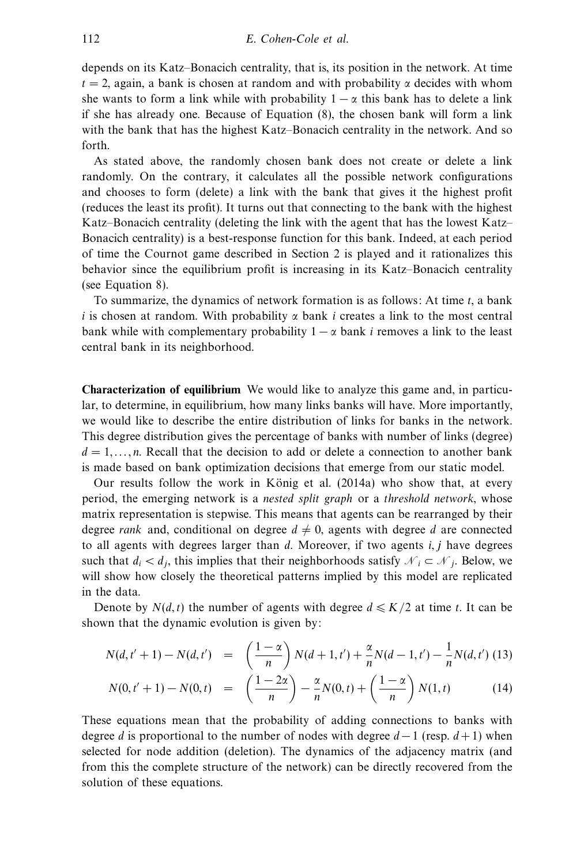depends on its Katz–Bonacich centrality, that is, its position in the network. At time *t* = 2, again, a bank is chosen at random and with probability *α* decides with whom she wants to form a link while with probability  $1 - \alpha$  this bank has to delete a link if she has already one. Because of Equation (8), the chosen bank will form a link with the bank that has the highest Katz–Bonacich centrality in the network. And so forth.

As stated above, the randomly chosen bank does not create or delete a link randomly. On the contrary, it calculates all the possible network configurations and chooses to form (delete) a link with the bank that gives it the highest profit (reduces the least its profit). It turns out that connecting to the bank with the highest Katz–Bonacich centrality (deleting the link with the agent that has the lowest Katz– Bonacich centrality) is a best-response function for this bank. Indeed, at each period of time the Cournot game described in Section 2 is played and it rationalizes this behavior since the equilibrium profit is increasing in its Katz–Bonacich centrality (see Equation 8).

To summarize, the dynamics of network formation is as follows: At time *t*, a bank *i* is chosen at random. With probability *α* bank *i* creates a link to the most central bank while with complementary probability  $1 - \alpha$  bank *i* removes a link to the least central bank in its neighborhood.

**Characterization of equilibrium** We would like to analyze this game and, in particular, to determine, in equilibrium, how many links banks will have. More importantly, we would like to describe the entire distribution of links for banks in the network. This degree distribution gives the percentage of banks with number of links (degree)  $d = 1, \ldots, n$ . Recall that the decision to add or delete a connection to another bank is made based on bank optimization decisions that emerge from our static model.

Our results follow the work in König et al.  $(2014a)$  who show that, at every period, the emerging network is a nested split graph or a threshold network, whose matrix representation is stepwise. This means that agents can be rearranged by their degree *rank* and, conditional on degree  $d \neq 0$ , agents with degree *d* are connected to all agents with degrees larger than *d*. Moreover, if two agents *i, j* have degrees such that  $d_i < d_j$ , this implies that their neighborhoods satisfy  $\mathcal{N}_i \subset \mathcal{N}_j$ . Below, we will show how closely the theoretical patterns implied by this model are replicated in the data.

Denote by  $N(d, t)$  the number of agents with degree  $d \leq K/2$  at time *t*. It can be shown that the dynamic evolution is given by:

$$
N(d, t' + 1) - N(d, t') = \left(\frac{1-\alpha}{n}\right)N(d+1, t') + \frac{\alpha}{n}N(d-1, t') - \frac{1}{n}N(d, t') \tag{13}
$$

$$
N(0, t' + 1) - N(0, t) = \left(\frac{1 - 2\alpha}{n}\right) - \frac{\alpha}{n}N(0, t) + \left(\frac{1 - \alpha}{n}\right)N(1, t)
$$
(14)

These equations mean that the probability of adding connections to banks with degree *d* is proportional to the number of nodes with degree  $d-1$  (resp.  $d+1$ ) when selected for node addition (deletion). The dynamics of the adjacency matrix (and from this the complete structure of the network) can be directly recovered from the solution of these equations.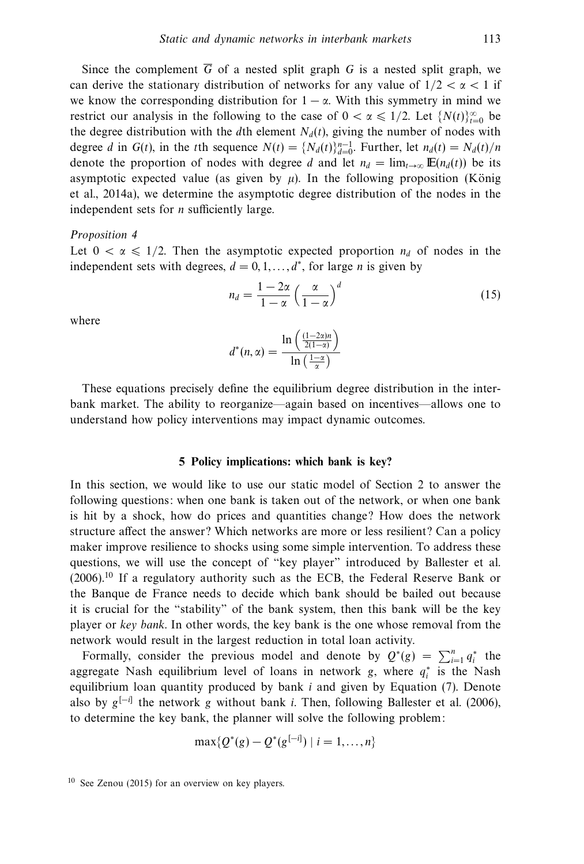Since the complement  $\overline{G}$  of a nested split graph  $G$  is a nested split graph, we can derive the stationary distribution of networks for any value of  $1/2 < \alpha < 1$  if we know the corresponding distribution for  $1 - \alpha$ . With this symmetry in mind we restrict our analysis in the following to the case of  $0 < \alpha \leq 1/2$ . Let  $\{N(t)\}_{t=0}^{\infty}$  be the degree distribution with the *d*th element  $N_d(t)$ , giving the number of nodes with degree *d* in *G*(*t*), in the *t*th sequence  $N(t) = \{N_d(t)\}_{d=0}^{n-1}$ . Further, let  $n_d(t) = N_d(t)/n$ denote the proportion of nodes with degree *d* and let  $n_d = \lim_{t\to\infty} \mathbb{E}(n_d(t))$  be its asymptotic expected value (as given by  $\mu$ ). In the following proposition (König et al., 2014a), we determine the asymptotic degree distribution of the nodes in the independent sets for *n* sufficiently large.

#### Proposition 4

Let  $0 < \alpha \leq 1/2$ . Then the asymptotic expected proportion  $n_d$  of nodes in the independent sets with degrees,  $d = 0, 1, \ldots, d^*$ , for large *n* is given by

$$
n_d = \frac{1 - 2\alpha}{1 - \alpha} \left(\frac{\alpha}{1 - \alpha}\right)^d \tag{15}
$$

where

$$
d^*(n,\alpha) = \frac{\ln\left(\frac{(1-2\alpha)n}{2(1-\alpha)}\right)}{\ln\left(\frac{1-\alpha}{\alpha}\right)}
$$

These equations precisely define the equilibrium degree distribution in the interbank market. The ability to reorganize—again based on incentives—allows one to understand how policy interventions may impact dynamic outcomes.

#### **5 Policy implications: which bank is key?**

In this section, we would like to use our static model of Section 2 to answer the following questions: when one bank is taken out of the network, or when one bank is hit by a shock, how do prices and quantities change? How does the network structure affect the answer? Which networks are more or less resilient? Can a policy maker improve resilience to shocks using some simple intervention. To address these questions, we will use the concept of "key player" introduced by Ballester et al.  $(2006)$ .<sup>10</sup> If a regulatory authority such as the ECB, the Federal Reserve Bank or the Banque de France needs to decide which bank should be bailed out because it is crucial for the "stability" of the bank system, then this bank will be the key player or key bank. In other words, the key bank is the one whose removal from the network would result in the largest reduction in total loan activity.

Formally, consider the previous model and denote by  $Q^*(g) = \sum_{i=1}^n q_i^*$  the aggregate Nash equilibrium level of loans in network  $g$ , where  $q_i^*$  is the Nash equilibrium loan quantity produced by bank *i* and given by Equation (7). Denote also by  $g^{[-i]}$  the network g without bank *i*. Then, following Ballester et al. (2006), to determine the key bank, the planner will solve the following problem:

$$
\max\{Q^*(g) - Q^*(g^{[-i]}) \mid i = 1, ..., n\}
$$

 $10$  See Zenou (2015) for an overview on key players.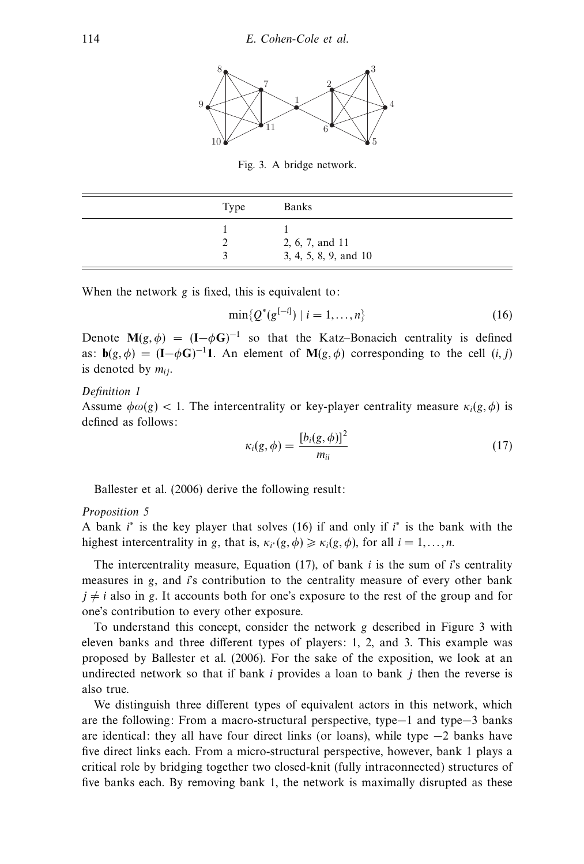

Fig. 3. A bridge network.

| Type | Banks                 |
|------|-----------------------|
|      | 2, 6, 7, and 11       |
|      | 3, 4, 5, 8, 9, and 10 |

When the network *g* is fixed, this is equivalent to:

$$
\min\{Q^*(g^{[-i]}) \mid i = 1, ..., n\} \tag{16}
$$

Denote  $M(g, \phi) = (I - \phi G)^{-1}$  so that the Katz–Bonacich centrality is defined as: **b**( $g, \phi$ ) = (**I**− $\phi$ **G**)<sup>-1</sup>**1**. An element of **M**( $g, \phi$ ) corresponding to the cell (*i, j*) is denoted by  $m_{ij}$ .

### Definition 1

Assume  $\phi\omega(g)$  < 1. The intercentrality or key-player centrality measure  $\kappa_i(g, \phi)$  is defined as follows:

$$
\kappa_i(g,\phi) = \frac{[b_i(g,\phi)]^2}{m_{ii}}\tag{17}
$$

Ballester et al. (2006) derive the following result:

#### Proposition 5

A bank *i* <sup>∗</sup> is the key player that solves (16) if and only if *i* <sup>∗</sup> is the bank with the highest intercentrality in *g*, that is,  $\kappa_{i^*}(g, \phi) \geq \kappa_i(g, \phi)$ , for all  $i = 1, ..., n$ .

The intercentrality measure, Equation (17), of bank *i* is the sum of *i*'s centrality measures in *g*, and *i*'s contribution to the centrality measure of every other bank  $j \neq i$  also in g. It accounts both for one's exposure to the rest of the group and for one's contribution to every other exposure.

To understand this concept, consider the network *g* described in Figure 3 with eleven banks and three different types of players: 1, 2, and 3. This example was proposed by Ballester et al. (2006). For the sake of the exposition, we look at an undirected network so that if bank *i* provides a loan to bank *j* then the reverse is also true.

We distinguish three different types of equivalent actors in this network, which are the following: From a macro-structural perspective, type−1 and type−3 banks are identical: they all have four direct links (or loans), while type  $-2$  banks have five direct links each. From a micro-structural perspective, however, bank 1 plays a critical role by bridging together two closed-knit (fully intraconnected) structures of five banks each. By removing bank 1, the network is maximally disrupted as these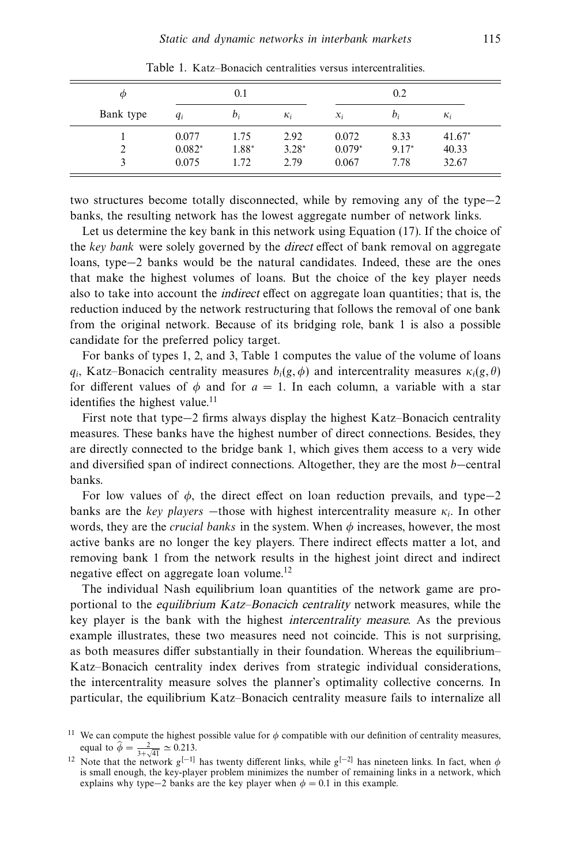| Φ         |          | 0.1   |            |          | 0.2     |            |  |
|-----------|----------|-------|------------|----------|---------|------------|--|
| Bank type | $q_i$    | $b_i$ | $\kappa_i$ | $\chi_i$ | $b_i$   | $\kappa_i$ |  |
|           | 0.077    | 1.75  | 2.92       | 0.072    | 8.33    | $41.67*$   |  |
|           | $0.082*$ | 1.88* | $3.28*$    | $0.079*$ | $9.17*$ | 40.33      |  |
|           | 0.075    | 1.72  | 2.79       | 0.067    | 7.78    | 32.67      |  |

Table 1. Katz–Bonacich centralities versus intercentralities.

two structures become totally disconnected, while by removing any of the type−2 banks, the resulting network has the lowest aggregate number of network links.

Let us determine the key bank in this network using Equation (17). If the choice of the key bank were solely governed by the *direct* effect of bank removal on aggregate loans, type−2 banks would be the natural candidates. Indeed, these are the ones that make the highest volumes of loans. But the choice of the key player needs also to take into account the *indirect* effect on aggregate loan quantities; that is, the reduction induced by the network restructuring that follows the removal of one bank from the original network. Because of its bridging role, bank 1 is also a possible candidate for the preferred policy target.

For banks of types 1, 2, and 3, Table 1 computes the value of the volume of loans *qi*, Katz–Bonacich centrality measures *bi*(*g,φ*) and intercentrality measures *κi*(*g, θ*) for different values of  $\phi$  and for  $a = 1$ . In each column, a variable with a star identifies the highest value.<sup>11</sup>

First note that type−2 firms always display the highest Katz–Bonacich centrality measures. These banks have the highest number of direct connections. Besides, they are directly connected to the bridge bank 1, which gives them access to a very wide and diversified span of indirect connections. Altogether, they are the most *b*−central banks.

For low values of  $\phi$ , the direct effect on loan reduction prevails, and type $-2$ banks are the key players –those with highest intercentrality measure  $\kappa_i$ . In other words, they are the *crucial banks* in the system. When  $\phi$  increases, however, the most active banks are no longer the key players. There indirect effects matter a lot, and removing bank 1 from the network results in the highest joint direct and indirect negative effect on aggregate loan volume.<sup>12</sup>

The individual Nash equilibrium loan quantities of the network game are proportional to the *equilibrium Katz–Bonacich centrality* network measures, while the key player is the bank with the highest *intercentrality measure*. As the previous example illustrates, these two measures need not coincide. This is not surprising, as both measures differ substantially in their foundation. Whereas the equilibrium– Katz–Bonacich centrality index derives from strategic individual considerations, the intercentrality measure solves the planner's optimality collective concerns. In particular, the equilibrium Katz–Bonacich centrality measure fails to internalize all

<sup>&</sup>lt;sup>11</sup> We can compute the highest possible value for  $\phi$  compatible with our definition of centrality measures, equal to  $\hat{\phi} = \frac{2}{3+\sqrt{41}} \approx 0.213$ .

<sup>&</sup>lt;sup>12</sup> Note that the network  $g^{[-1]}$  has twenty different links, while  $g^{[-2]}$  has nineteen links. In fact, when  $\phi$ is small enough, the key-player problem minimizes the number of remaining links in a network, which explains why type−2 banks are the key player when  $\phi = 0.1$  in this example.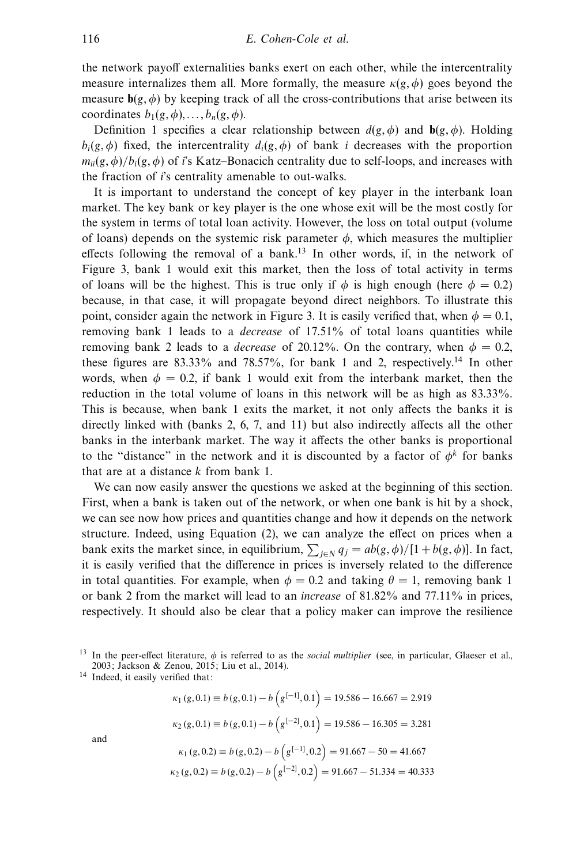the network payoff externalities banks exert on each other, while the intercentrality measure internalizes them all. More formally, the measure  $\kappa(g, \phi)$  goes beyond the measure  $\mathbf{b}(g,\phi)$  by keeping track of all the cross-contributions that arise between its coordinates  $b_1(g, \phi), \ldots, b_n(g, \phi)$ .

Definition 1 specifies a clear relationship between  $d(g, \phi)$  and  $\mathbf{b}(g, \phi)$ . Holding  $b_i(g, \phi)$  fixed, the intercentrality  $d_i(g, \phi)$  of bank *i* decreases with the proportion  $m_{ii}(g, \phi)/b_i(g, \phi)$  of *i*'s Katz–Bonacich centrality due to self-loops, and increases with the fraction of *i*'s centrality amenable to out-walks.

It is important to understand the concept of key player in the interbank loan market. The key bank or key player is the one whose exit will be the most costly for the system in terms of total loan activity. However, the loss on total output (volume of loans) depends on the systemic risk parameter  $\phi$ , which measures the multiplier effects following the removal of a bank.<sup>13</sup> In other words, if, in the network of Figure 3, bank 1 would exit this market, then the loss of total activity in terms of loans will be the highest. This is true only if  $\phi$  is high enough (here  $\phi = 0.2$ ) because, in that case, it will propagate beyond direct neighbors. To illustrate this point, consider again the network in Figure 3. It is easily verified that, when  $\phi = 0.1$ , removing bank 1 leads to a decrease of 17*.*51% of total loans quantities while removing bank 2 leads to a *decrease* of 20.12%. On the contrary, when  $\phi = 0.2$ , these figures are 83*.*33% and 78*.*57%, for bank 1 and 2, respectively.14 In other words, when  $\phi = 0.2$ , if bank 1 would exit from the interbank market, then the reduction in the total volume of loans in this network will be as high as 83*.*33%. This is because, when bank 1 exits the market, it not only affects the banks it is directly linked with (banks 2, 6, 7, and 11) but also indirectly affects all the other banks in the interbank market. The way it affects the other banks is proportional to the "distance" in the network and it is discounted by a factor of  $\phi^k$  for banks that are at a distance *k* from bank 1.

We can now easily answer the questions we asked at the beginning of this section. First, when a bank is taken out of the network, or when one bank is hit by a shock, we can see now how prices and quantities change and how it depends on the network structure. Indeed, using Equation (2), we can analyze the effect on prices when a bank exits the market since, in equilibrium,  $\sum_{j \in N} q_j = ab(g, \phi) / [1 + b(g, \phi)]$ . In fact, it is easily verified that the difference in prices is inversely related to the difference in total quantities. For example, when  $\phi = 0.2$  and taking  $\theta = 1$ , removing bank 1 or bank 2 from the market will lead to an increase of 81*.*82% and 77*.*11% in prices, respectively. It should also be clear that a policy maker can improve the resilience

$$
\kappa_1(g, 0.1) \equiv b(g, 0.1) - b\left(g^{[-1]}, 0.1\right) = 19.586 - 16.667 = 2.919
$$
  
\n
$$
\kappa_2(g, 0.1) \equiv b(g, 0.1) - b\left(g^{[-2]}, 0.1\right) = 19.586 - 16.305 = 3.281
$$
  
\n
$$
\kappa_1(g, 0.2) \equiv b(g, 0.2) - b\left(g^{[-1]}, 0.2\right) = 91.667 - 50 = 41.667
$$
  
\n
$$
\kappa_2(g, 0.2) \equiv b(g, 0.2) - b\left(g^{[-2]}, 0.2\right) = 91.667 - 51.334 = 40.333
$$

and

<sup>&</sup>lt;sup>13</sup> In the peer-effect literature,  $\phi$  is referred to as the social multiplier (see, in particular, Glaeser et al., 2003; Jackson & Zenou, 2015; Liu et al., 2014).

<sup>&</sup>lt;sup>14</sup> Indeed, it easily verified that: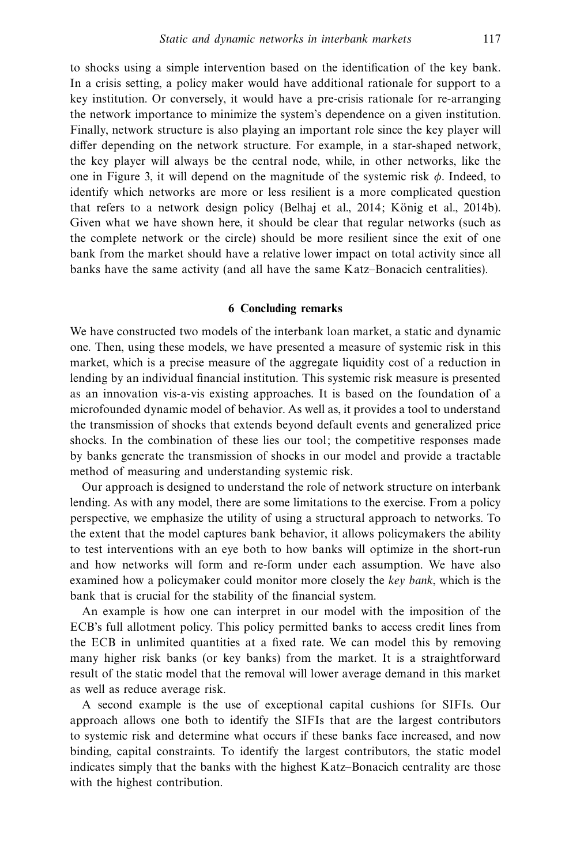to shocks using a simple intervention based on the identification of the key bank. In a crisis setting, a policy maker would have additional rationale for support to a key institution. Or conversely, it would have a pre-crisis rationale for re-arranging the network importance to minimize the system's dependence on a given institution. Finally, network structure is also playing an important role since the key player will differ depending on the network structure. For example, in a star-shaped network, the key player will always be the central node, while, in other networks, like the one in Figure 3, it will depend on the magnitude of the systemic risk *φ*. Indeed, to identify which networks are more or less resilient is a more complicated question that refers to a network design policy (Belhaj et al., 2014; König et al., 2014b). Given what we have shown here, it should be clear that regular networks (such as the complete network or the circle) should be more resilient since the exit of one bank from the market should have a relative lower impact on total activity since all banks have the same activity (and all have the same Katz–Bonacich centralities).

## **6 Concluding remarks**

We have constructed two models of the interbank loan market, a static and dynamic one. Then, using these models, we have presented a measure of systemic risk in this market, which is a precise measure of the aggregate liquidity cost of a reduction in lending by an individual financial institution. This systemic risk measure is presented as an innovation vis-a-vis existing approaches. It is based on the foundation of a microfounded dynamic model of behavior. As well as, it provides a tool to understand the transmission of shocks that extends beyond default events and generalized price shocks. In the combination of these lies our tool; the competitive responses made by banks generate the transmission of shocks in our model and provide a tractable method of measuring and understanding systemic risk.

Our approach is designed to understand the role of network structure on interbank lending. As with any model, there are some limitations to the exercise. From a policy perspective, we emphasize the utility of using a structural approach to networks. To the extent that the model captures bank behavior, it allows policymakers the ability to test interventions with an eye both to how banks will optimize in the short-run and how networks will form and re-form under each assumption. We have also examined how a policymaker could monitor more closely the key bank, which is the bank that is crucial for the stability of the financial system.

An example is how one can interpret in our model with the imposition of the ECB's full allotment policy. This policy permitted banks to access credit lines from the ECB in unlimited quantities at a fixed rate. We can model this by removing many higher risk banks (or key banks) from the market. It is a straightforward result of the static model that the removal will lower average demand in this market as well as reduce average risk.

A second example is the use of exceptional capital cushions for SIFIs. Our approach allows one both to identify the SIFIs that are the largest contributors to systemic risk and determine what occurs if these banks face increased, and now binding, capital constraints. To identify the largest contributors, the static model indicates simply that the banks with the highest Katz–Bonacich centrality are those with the highest contribution.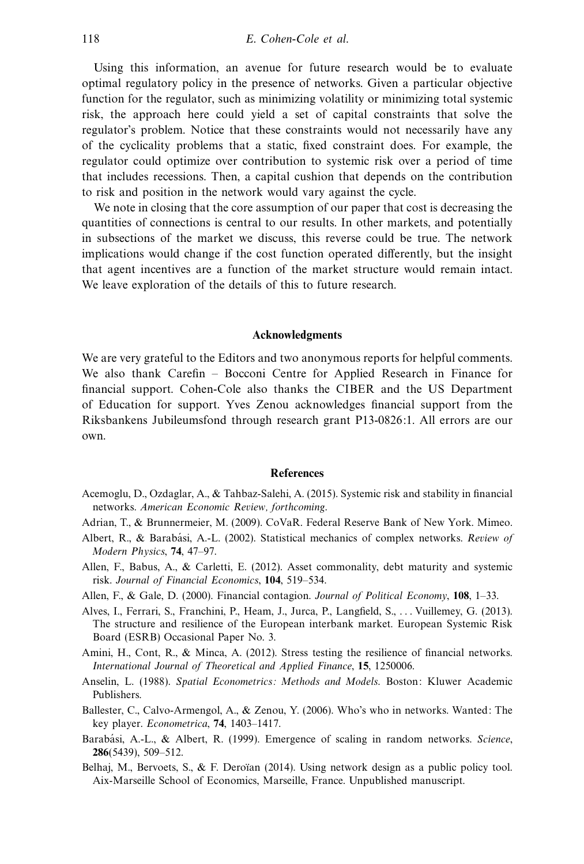Using this information, an avenue for future research would be to evaluate optimal regulatory policy in the presence of networks. Given a particular objective function for the regulator, such as minimizing volatility or minimizing total systemic risk, the approach here could yield a set of capital constraints that solve the regulator's problem. Notice that these constraints would not necessarily have any of the cyclicality problems that a static, fixed constraint does. For example, the regulator could optimize over contribution to systemic risk over a period of time that includes recessions. Then, a capital cushion that depends on the contribution to risk and position in the network would vary against the cycle.

We note in closing that the core assumption of our paper that cost is decreasing the quantities of connections is central to our results. In other markets, and potentially in subsections of the market we discuss, this reverse could be true. The network implications would change if the cost function operated differently, but the insight that agent incentives are a function of the market structure would remain intact. We leave exploration of the details of this to future research.

#### **Acknowledgments**

We are very grateful to the Editors and two anonymous reports for helpful comments. We also thank Carefin – Bocconi Centre for Applied Research in Finance for financial support. Cohen-Cole also thanks the CIBER and the US Department of Education for support. Yves Zenou acknowledges financial support from the Riksbankens Jubileumsfond through research grant P13-0826:1. All errors are our own.

#### **References**

- Acemoglu, D., Ozdaglar, A., & Tahbaz-Salehi, A. (2015). Systemic risk and stability in financial networks. American Economic Review, forthcoming.
- Adrian, T., & Brunnermeier, M. (2009). CoVaR. Federal Reserve Bank of New York. Mimeo.
- Albert, R., & Barabási, A.-L. (2002). Statistical mechanics of complex networks. Review of Modern Physics, **74**, 47–97.
- Allen, F., Babus, A., & Carletti, E. (2012). Asset commonality, debt maturity and systemic risk. Journal of Financial Economics, **104**, 519–534.
- Allen, F., & Gale, D. (2000). Financial contagion. Journal of Political Economy, **108**, 1–33.
- Alves, I., Ferrari, S., Franchini, P., Heam, J., Jurca, P., Langfield, S., . . . Vuillemey, G. (2013). The structure and resilience of the European interbank market. European Systemic Risk Board (ESRB) Occasional Paper No. 3.
- Amini, H., Cont, R., & Minca, A. (2012). Stress testing the resilience of financial networks. International Journal of Theoretical and Applied Finance, **15**, 1250006.
- Anselin, L. (1988). Spatial Econometrics: Methods and Models. Boston: Kluwer Academic Publishers.
- Ballester, C., Calvo-Armengol, A., & Zenou, Y. (2006). Who's who in networks. Wanted: The key player. Econometrica, **74**, 1403–1417.
- Barabási, A.-L., & Albert, R. (1999). Emergence of scaling in random networks. Science, **286**(5439), 509–512.
- Belhaj, M., Bervoets, S., & F. Deroïan (2014). Using network design as a public policy tool. Aix-Marseille School of Economics, Marseille, France. Unpublished manuscript.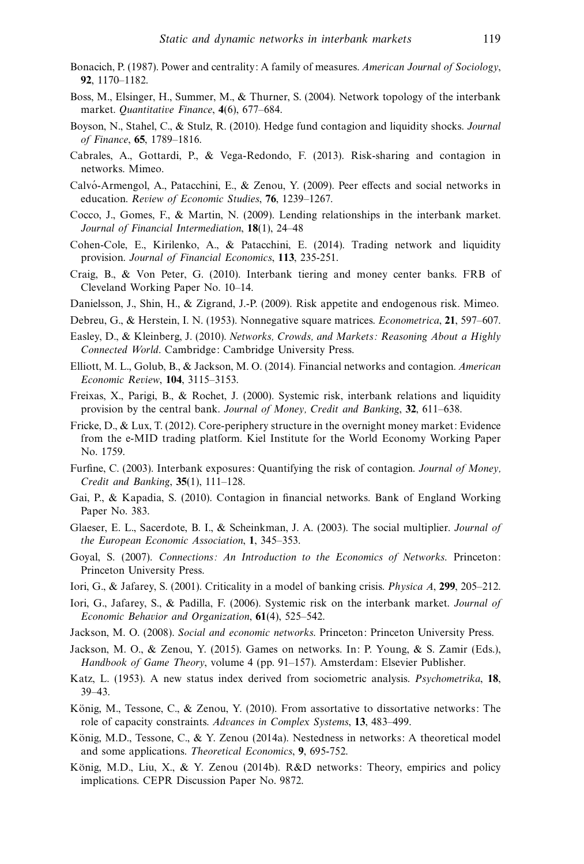- Bonacich, P. (1987). Power and centrality: A family of measures. American Journal of Sociology, **92**, 1170–1182.
- Boss, M., Elsinger, H., Summer, M., & Thurner, S. (2004). Network topology of the interbank market. Quantitative Finance, **4**(6), 677–684.
- Boyson, N., Stahel, C., & Stulz, R. (2010). Hedge fund contagion and liquidity shocks. Journal of Finance, **65**, 1789–1816.
- Cabrales, A., Gottardi, P., & Vega-Redondo, F. (2013). Risk-sharing and contagion in networks. Mimeo.
- Calvó-Armengol, A., Patacchini, E., & Zenou, Y. (2009). Peer effects and social networks in education. Review of Economic Studies, **76**, 1239–1267.
- Cocco, J., Gomes, F., & Martin, N. (2009). Lending relationships in the interbank market. Journal of Financial Intermediation, **18**(1), 24–48
- Cohen-Cole, E., Kirilenko, A., & Patacchini, E. (2014). Trading network and liquidity provision. Journal of Financial Economics, **113**, 235-251.
- Craig, B., & Von Peter, G. (2010). Interbank tiering and money center banks. FRB of Cleveland Working Paper No. 10–14.
- Danielsson, J., Shin, H., & Zigrand, J.-P. (2009). Risk appetite and endogenous risk. Mimeo.
- Debreu, G., & Herstein, I. N. (1953). Nonnegative square matrices. Econometrica, **21**, 597–607.
- Easley, D., & Kleinberg, J. (2010). Networks, Crowds, and Markets: Reasoning About a Highly Connected World. Cambridge: Cambridge University Press.
- Elliott, M. L., Golub, B., & Jackson, M. O. (2014). Financial networks and contagion. American Economic Review, **104**, 3115–3153.
- Freixas, X., Parigi, B., & Rochet, J. (2000). Systemic risk, interbank relations and liquidity provision by the central bank. Journal of Money, Credit and Banking, **32**, 611–638.
- Fricke, D., & Lux, T. (2012). Core-periphery structure in the overnight money market: Evidence from the e-MID trading platform. Kiel Institute for the World Economy Working Paper No. 1759.
- Furfine, C. (2003). Interbank exposures: Quantifying the risk of contagion. Journal of Money, Credit and Banking, **35**(1), 111–128.
- Gai, P., & Kapadia, S. (2010). Contagion in financial networks. Bank of England Working Paper No. 383.
- Glaeser, E. L., Sacerdote, B. I., & Scheinkman, J. A. (2003). The social multiplier. Journal of the European Economic Association, **1**, 345–353.
- Goyal, S. (2007). Connections: An Introduction to the Economics of Networks. Princeton: Princeton University Press.
- Iori, G., & Jafarey, S. (2001). Criticality in a model of banking crisis. Physica A, **299**, 205–212.
- Iori, G., Jafarey, S., & Padilla, F. (2006). Systemic risk on the interbank market. Journal of Economic Behavior and Organization, **61**(4), 525–542.
- Jackson, M. O. (2008). Social and economic networks. Princeton: Princeton University Press.
- Jackson, M. O., & Zenou, Y. (2015). Games on networks. In: P. Young, & S. Zamir (Eds.), Handbook of Game Theory, volume 4 (pp. 91–157). Amsterdam: Elsevier Publisher.
- Katz, L. (1953). A new status index derived from sociometric analysis. Psychometrika, **18**, 39–43.
- König, M., Tessone, C., & Zenou, Y. (2010). From assortative to dissortative networks: The role of capacity constraints. Advances in Complex Systems, **13**, 483–499.
- König, M.D., Tessone, C., & Y. Zenou (2014a). Nestedness in networks: A theoretical model and some applications. Theoretical Economics, **9**, 695-752.
- König, M.D., Liu, X., & Y. Zenou (2014b).  $R&D$  networks: Theory, empirics and policy implications. CEPR Discussion Paper No. 9872.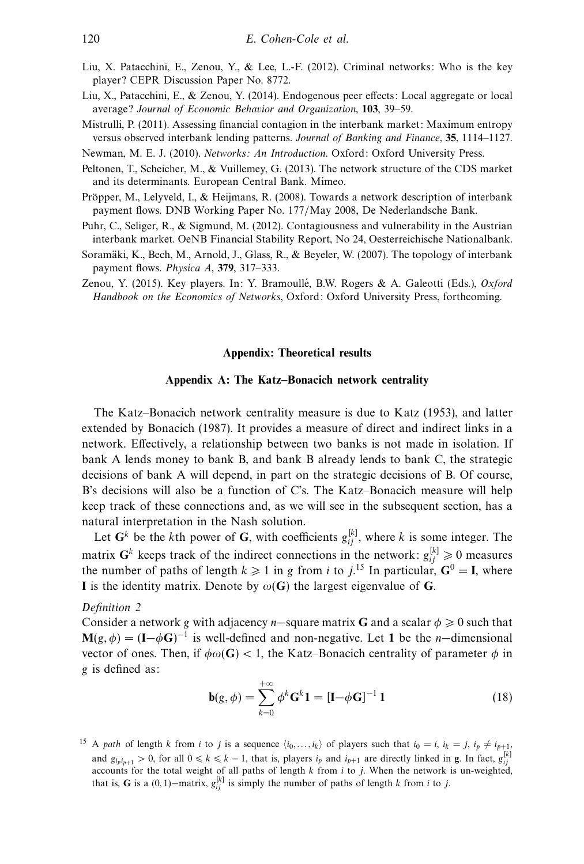- Liu, X. Patacchini, E., Zenou, Y., & Lee, L.-F. (2012). Criminal networks: Who is the key player? CEPR Discussion Paper No. 8772.
- Liu, X., Patacchini, E., & Zenou, Y. (2014). Endogenous peer effects: Local aggregate or local average? Journal of Economic Behavior and Organization, **103**, 39–59.
- Mistrulli, P. (2011). Assessing financial contagion in the interbank market: Maximum entropy versus observed interbank lending patterns. Journal of Banking and Finance, **35**, 1114–1127.
- Newman, M. E. J. (2010). Networks: An Introduction. Oxford: Oxford University Press.
- Peltonen, T., Scheicher, M., & Vuillemey, G. (2013). The network structure of the CDS market and its determinants. European Central Bank. Mimeo.
- Pröpper, M., Lelyveld, I., & Heijmans, R. (2008). Towards a network description of interbank payment flows. DNB Working Paper No. 177/May 2008, De Nederlandsche Bank.
- Puhr, C., Seliger, R., & Sigmund, M. (2012). Contagiousness and vulnerability in the Austrian interbank market. OeNB Financial Stability Report, No 24, Oesterreichische Nationalbank.
- Soramäki, K., Bech, M., Arnold, J., Glass, R., & Beyeler, W. (2007). The topology of interbank payment flows. Physica A, **379**, 317–333.
- Zenou, Y. (2015). Key players. In: Y. Bramoullé, B.W. Rogers & A. Galeotti (Eds.),  $Oxford$ Handbook on the Economics of Networks, Oxford: Oxford University Press, forthcoming.

#### **Appendix: Theoretical results**

#### **Appendix A: The Katz–Bonacich network centrality**

The Katz–Bonacich network centrality measure is due to Katz (1953), and latter extended by Bonacich (1987). It provides a measure of direct and indirect links in a network. Effectively, a relationship between two banks is not made in isolation. If bank A lends money to bank B, and bank B already lends to bank C, the strategic decisions of bank A will depend, in part on the strategic decisions of B. Of course, B's decisions will also be a function of C's. The Katz–Bonacich measure will help keep track of these connections and, as we will see in the subsequent section, has a natural interpretation in the Nash solution.

Let  $G^k$  be the *k*th power of G, with coefficients  $g_{ij}^{[k]}$ , where *k* is some integer. The matrix  $G^k$  keeps track of the indirect connections in the network:  $g_{ij}^{[k]} \geq 0$  measures the number of paths of length  $k \ge 1$  in g from *i* to  $j^{15}$  In particular,  $\mathbf{G}^0 = \mathbf{I}$ , where **I** is the identity matrix. Denote by *ω*(**G**) the largest eigenvalue of **G**.

#### Definition 2

Consider a network *g* with adjacency *n*—square matrix **G** and a scalar  $\phi \ge 0$  such that  $M(g, \phi) = (I - \phi G)^{-1}$  is well-defined and non-negative. Let 1 be the *n*−dimensional vector of ones. Then, if  $\phi \omega(\mathbf{G}) < 1$ , the Katz–Bonacich centrality of parameter  $\phi$  in *g* is defined as:

$$
\mathbf{b}(g,\phi) = \sum_{k=0}^{+\infty} \phi^k \mathbf{G}^k \mathbf{1} = [\mathbf{I} - \phi \mathbf{G}]^{-1} \mathbf{1}
$$
 (18)

<sup>&</sup>lt;sup>15</sup> A path of length *k* from *i* to *j* is a sequence  $\langle i_0, \ldots, i_k \rangle$  of players such that  $i_0 = i$ ,  $i_k = j$ ,  $i_p \neq i_{p+1}$ , and  $g_{i_p i_{p+1}} > 0$ , for all  $0 \le k \le k - 1$ , that is, players  $i_p$  and  $i_{p+1}$  are directly linked in **g**. In fact,  $g_{ij}^{[k]}$ accounts for the total weight of all paths of length *k* from *i* to *j*. When the network is un-weighted, that is, **G** is a (0, 1)−matrix,  $g_{ij}^{[k]}$  is simply the number of paths of length *k* from *i* to *j*.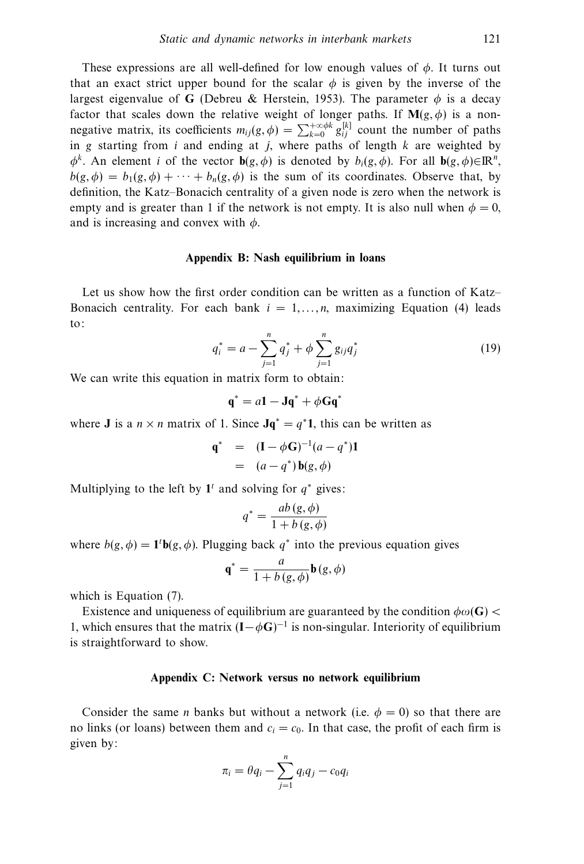These expressions are all well-defined for low enough values of *φ*. It turns out that an exact strict upper bound for the scalar  $\phi$  is given by the inverse of the largest eigenvalue of **G** (Debreu & Herstein, 1953). The parameter  $\phi$  is a decay factor that scales down the relative weight of longer paths. If  $M(g, \phi)$  is a nonnegative matrix, its coefficients  $m_{ij}(g, \phi) = \sum_{k=0}^{+\infty \phi k} g_{ij}^{[k]}$  count the number of paths in *g* starting from *i* and ending at *j*, where paths of length *k* are weighted by  $\phi^k$ . An element *i* of the vector **b**(*g,*  $\phi$ ) is denoted by *b<sub>i</sub>*(*g,*  $\phi$ ). For all **b**(*g,*  $\phi$ )∈IR<sup>*n*</sup>,  $b(g, \phi) = b_1(g, \phi) + \cdots + b_n(g, \phi)$  is the sum of its coordinates. Observe that, by definition, the Katz–Bonacich centrality of a given node is zero when the network is empty and is greater than 1 if the network is not empty. It is also null when  $\phi = 0$ , and is increasing and convex with *φ*.

#### **Appendix B: Nash equilibrium in loans**

Let us show how the first order condition can be written as a function of Katz– Bonacich centrality. For each bank  $i = 1, \ldots, n$ , maximizing Equation (4) leads to:

$$
q_i^* = a - \sum_{j=1}^n q_j^* + \phi \sum_{j=1}^n g_{ij} q_j^*
$$
 (19)

We can write this equation in matrix form to obtain:

$$
\mathbf{q}^* = a\mathbf{1} - \mathbf{J}\mathbf{q}^* + \phi \mathbf{G}\mathbf{q}^*
$$

where **J** is a  $n \times n$  matrix of 1. Since  $Jq^* = q^*1$ , this can be written as

$$
\mathbf{q}^* = (\mathbf{I} - \phi \mathbf{G})^{-1} (a - q^*) \mathbf{1}
$$
  
=  $(a - q^*) \mathbf{b}(g, \phi)$ 

Multiplying to the left by **1***<sup>t</sup>* and solving for *q*<sup>∗</sup> gives:

$$
q^* = \frac{ab\,(g,\phi)}{1+b\,(g,\phi)}
$$

where  $b(g, \phi) = \mathbf{1}^t \mathbf{b}(g, \phi)$ . Plugging back  $q^*$  into the previous equation gives

$$
\mathbf{q}^* = \frac{a}{1+b\,(g,\phi)}\mathbf{b}\,(g,\phi)
$$

which is Equation (7).

Existence and uniqueness of equilibrium are guaranteed by the condition  $\phi \omega(\mathbf{G})$  < 1, which ensures that the matrix  $(I - \phi G)^{-1}$  is non-singular. Interiority of equilibrium is straightforward to show.

#### **Appendix C: Network versus no network equilibrium**

Consider the same *n* banks but without a network (i.e.  $\phi = 0$ ) so that there are no links (or loans) between them and  $c_i = c_0$ . In that case, the profit of each firm is given by:

$$
\pi_i = \theta q_i - \sum_{j=1}^n q_i q_j - c_0 q_i
$$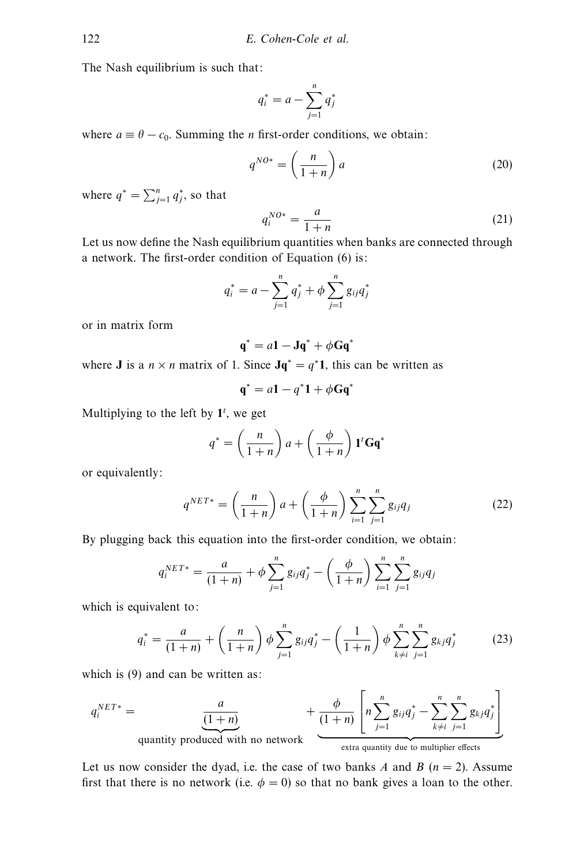The Nash equilibrium is such that:

$$
q_i^* = a - \sum_{j=1}^n q_j^*
$$

where  $a \equiv \theta - c_0$ . Summing the *n* first-order conditions, we obtain:

$$
q^{NO^*} = \left(\frac{n}{1+n}\right)a\tag{20}
$$

where  $q^* = \sum_{j=1}^n q^*_j$ , so that

$$
q_i^{NO^*} = \frac{a}{1+n} \tag{21}
$$

Let us now define the Nash equilibrium quantities when banks are connected through a network. The first-order condition of Equation (6) is:

$$
q_i^* = a - \sum_{j=1}^n q_j^* + \phi \sum_{j=1}^n g_{ij} q_j^*
$$

or in matrix form

$$
\mathbf{q}^* = a\mathbf{1} - \mathbf{J}\mathbf{q}^* + \phi \mathbf{G}\mathbf{q}^*
$$

where **J** is a  $n \times n$  matrix of 1. Since  $Jq^* = q^*1$ , this can be written as

$$
\mathbf{q}^* = a\mathbf{1} - q^*\mathbf{1} + \phi \mathbf{G}\mathbf{q}^*
$$

Multiplying to the left by  $1^t$ , we get

$$
q^* = \left(\frac{n}{1+n}\right)a + \left(\frac{\phi}{1+n}\right)\mathbf{1}^t\mathbf{G}\mathbf{q}^*
$$

or equivalently:

$$
q^{NET*} = \left(\frac{n}{1+n}\right)a + \left(\frac{\phi}{1+n}\right)\sum_{i=1}^{n}\sum_{j=1}^{n}g_{ij}q_j
$$
 (22)

By plugging back this equation into the first-order condition, we obtain:

$$
q_i^{NET*} = \frac{a}{(1+n)} + \phi \sum_{j=1}^n g_{ij} q_j^* - \left(\frac{\phi}{1+n}\right) \sum_{i=1}^n \sum_{j=1}^n g_{ij} q_j
$$

which is equivalent to:

$$
q_i^* = \frac{a}{(1+n)} + \left(\frac{n}{1+n}\right)\phi \sum_{j=1}^n g_{ij}q_j^* - \left(\frac{1}{1+n}\right)\phi \sum_{k\neq i}^n \sum_{j=1}^n g_{kj}q_j^*
$$
(23)

which is  $(9)$  and can be written as:

$$
q_i^{NET*} = \underbrace{\frac{a}{(1+n)}}_{\text{quantity produced with no network}} + \underbrace{\frac{\phi}{(1+n)} \left[ n \sum_{j=1}^n g_{ij} q_j^* - \sum_{k \neq i}^n \sum_{j=1}^n g_{kj} q_j^* \right]}_{\text{extra quantity due to multiplier effects}}
$$

Let us now consider the dyad, i.e. the case of two banks *A* and *B* ( $n = 2$ ). Assume first that there is no network (i.e.  $\phi = 0$ ) so that no bank gives a loan to the other.